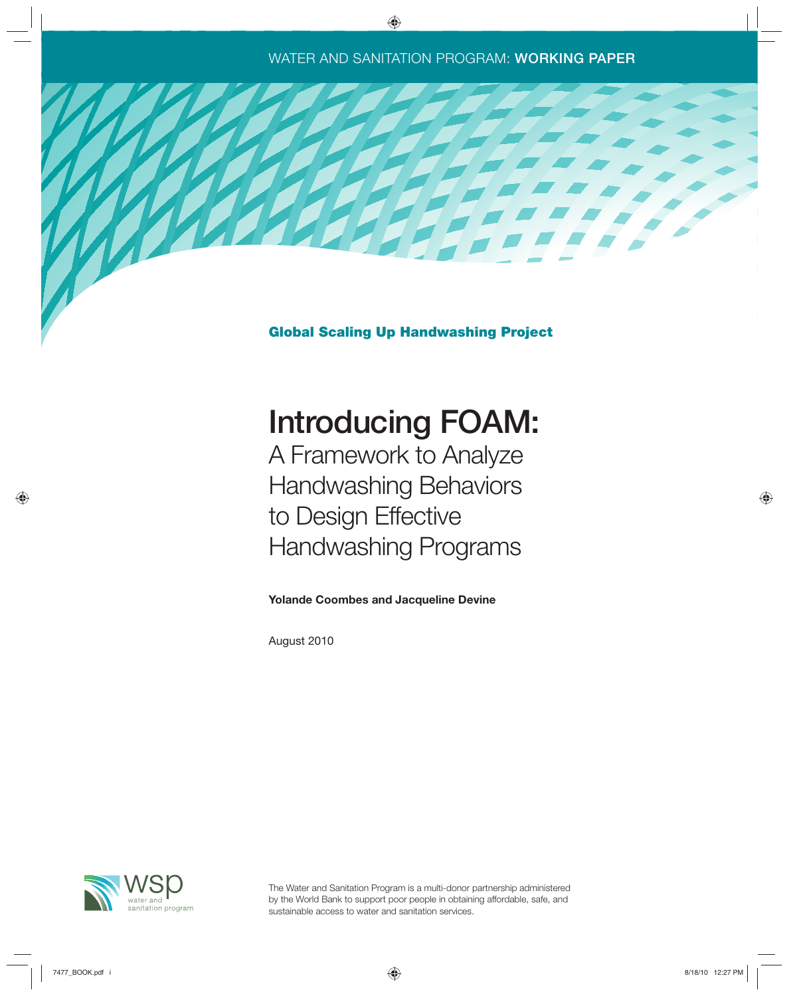**Global Scaling Up Handwashing Project**

## **Introducing FOAM:**

A Framework to Analyze Handwashing Behaviors to Design Effective Handwashing Programs

**Yolande Coombes and Jacqueline Devine** 

August 2010



The Water and Sanitation Program is a multi-donor partnership administered by the World Bank to support poor people in obtaining affordable, safe, and sustainable access to water and sanitation services.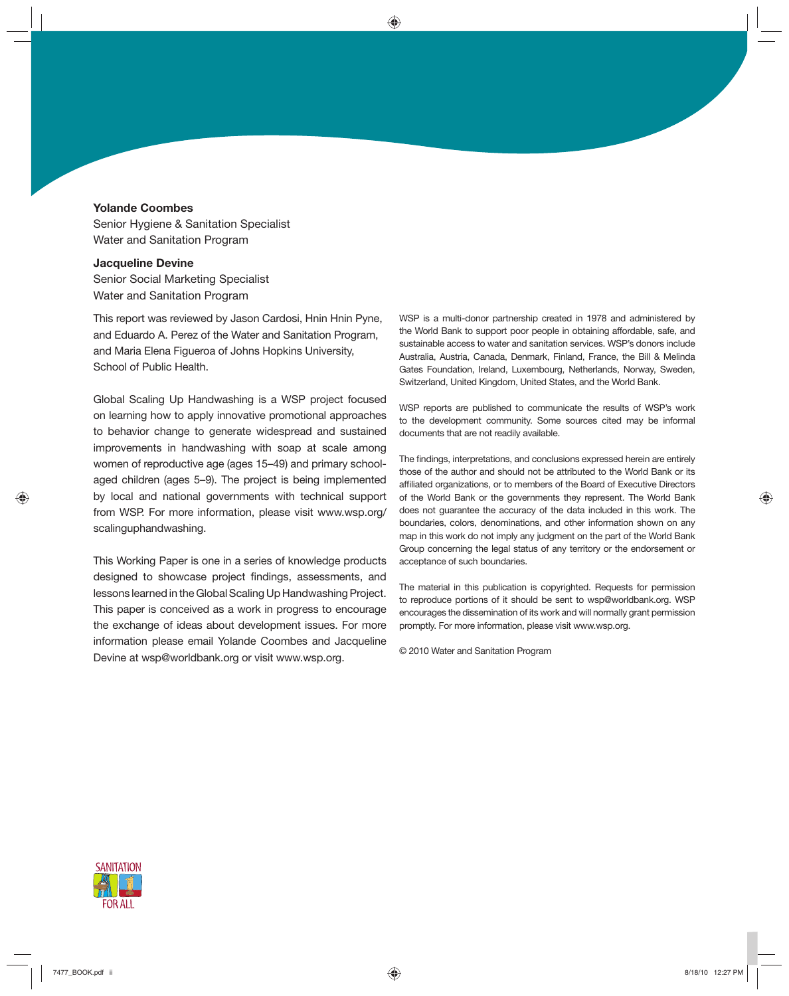#### **Yolande Coombes**

Senior Hygiene & Sanitation Specialist Water and Sanitation Program

#### **Jacqueline Devine**

Senior Social Marketing Specialist Water and Sanitation Program

This report was reviewed by Jason Cardosi, Hnin Hnin Pyne, and Eduardo A. Perez of the Water and Sanitation Program, and Maria Elena Figueroa of Johns Hopkins University, School of Public Health.

Global Scaling Up Handwashing is a WSP project focused on learning how to apply innovative promotional approaches to behavior change to generate widespread and sustained improvements in handwashing with soap at scale among women of reproductive age (ages 15–49) and primary schoolaged children (ages 5–9). The project is being implemented by local and national governments with technical support [from WSP. For more information, please visit www.wsp.org/](www.wsp.org/scalinguphandwashing) scalinguphandwashing.

This Working Paper is one in a series of knowledge products designed to showcase project findings, assessments, and lessons learned in the Global Scaling Up Handwashing Project. This paper is conceived as a work in progress to encourage the exchange of ideas about development issues. For more information please email Yolande Coombes and Jacqueline Devine at wsp@worldbank.org or visit www.wsp.org.

WSP is a multi-donor partnership created in 1978 and administered by the World Bank to support poor people in obtaining affordable, safe, and sustainable access to water and sanitation services. WSP's donors include Australia, Austria, Canada, Denmark, Finland, France, the Bill & Melinda Gates Foundation, Ireland, Luxembourg, Netherlands, Norway, Sweden, Switzerland, United Kingdom, United States, and the World Bank.

WSP reports are published to communicate the results of WSP's work to the development community. Some sources cited may be informal documents that are not readily available.

The findings, interpretations, and conclusions expressed herein are entirely those of the author and should not be attributed to the World Bank or its affiliated organizations, or to members of the Board of Executive Directors of the World Bank or the governments they represent. The World Bank does not guarantee the accuracy of the data included in this work. The boundaries, colors, denominations, and other information shown on any map in this work do not imply any judgment on the part of the World Bank Group concerning the legal status of any territory or the endorsement or acceptance of such boundaries.

The material in this publication is copyrighted. Requests for permission to reproduce portions of it should be sent to wsp@worldbank.org. WSP encourages the dissemination of its work and will normally grant permission promptly. For more information, please visit www.wsp.org.

© 2010 Water and Sanitation Program

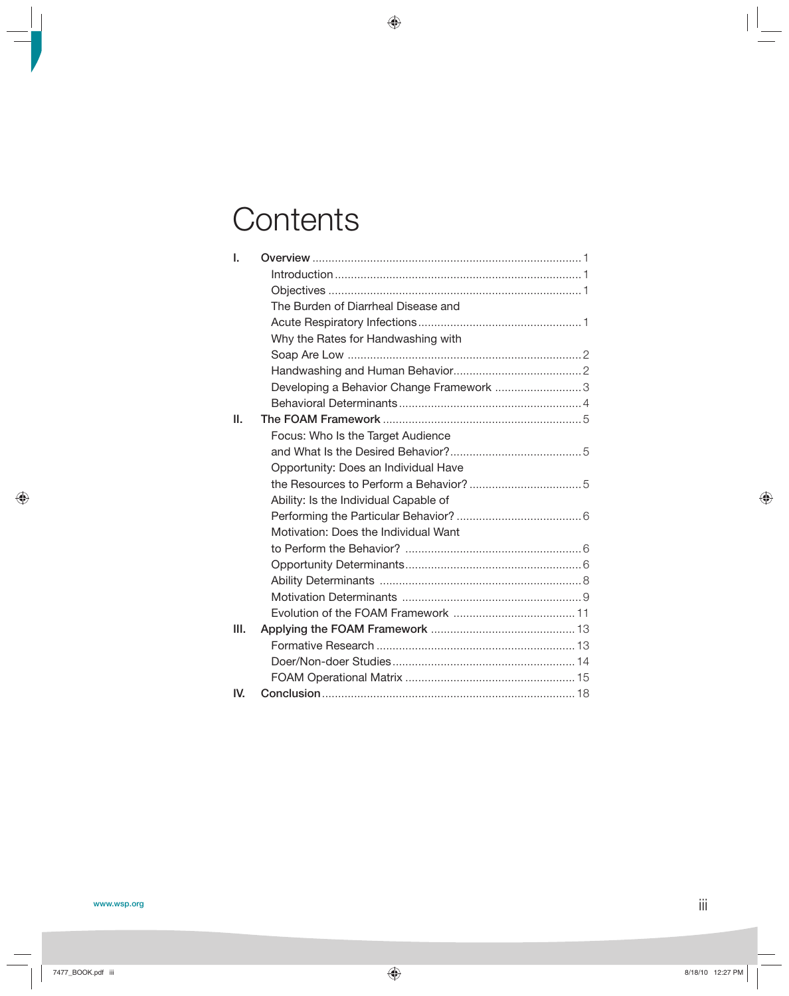## **Contents**

| 1.   |                                          |  |
|------|------------------------------------------|--|
|      |                                          |  |
|      |                                          |  |
|      | The Burden of Diarrheal Disease and      |  |
|      |                                          |  |
|      | Why the Rates for Handwashing with       |  |
|      |                                          |  |
|      |                                          |  |
|      | Developing a Behavior Change Framework 3 |  |
|      |                                          |  |
| Ш.   |                                          |  |
|      | Focus: Who Is the Target Audience        |  |
|      |                                          |  |
|      | Opportunity: Does an Individual Have     |  |
|      |                                          |  |
|      | Ability: Is the Individual Capable of    |  |
|      |                                          |  |
|      | Motivation: Does the Individual Want     |  |
|      |                                          |  |
|      |                                          |  |
|      |                                          |  |
|      |                                          |  |
|      |                                          |  |
| III. |                                          |  |
|      |                                          |  |
|      |                                          |  |
|      |                                          |  |
| IV.  |                                          |  |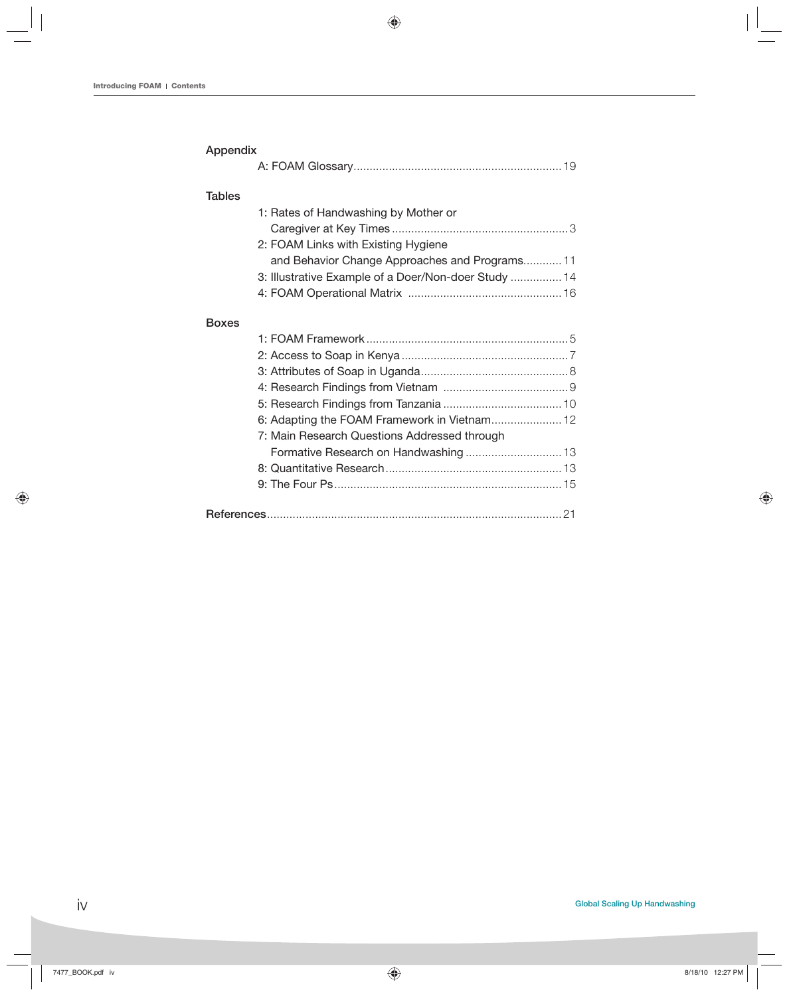| Appendix      |                                                      |  |
|---------------|------------------------------------------------------|--|
|               |                                                      |  |
|               |                                                      |  |
| <b>Tables</b> |                                                      |  |
|               | 1: Rates of Handwashing by Mother or                 |  |
|               |                                                      |  |
|               | 2: FOAM Links with Existing Hygiene                  |  |
|               | and Behavior Change Approaches and Programs 11       |  |
|               | 3: Illustrative Example of a Doer/Non-doer Study  14 |  |
|               |                                                      |  |
|               |                                                      |  |
| <b>Boxes</b>  |                                                      |  |
|               |                                                      |  |
|               |                                                      |  |
|               |                                                      |  |
|               |                                                      |  |
|               |                                                      |  |
|               | 6: Adapting the FOAM Framework in Vietnam 12         |  |
|               | 7: Main Research Questions Addressed through         |  |
|               |                                                      |  |
|               |                                                      |  |
|               |                                                      |  |
|               |                                                      |  |
|               |                                                      |  |
|               |                                                      |  |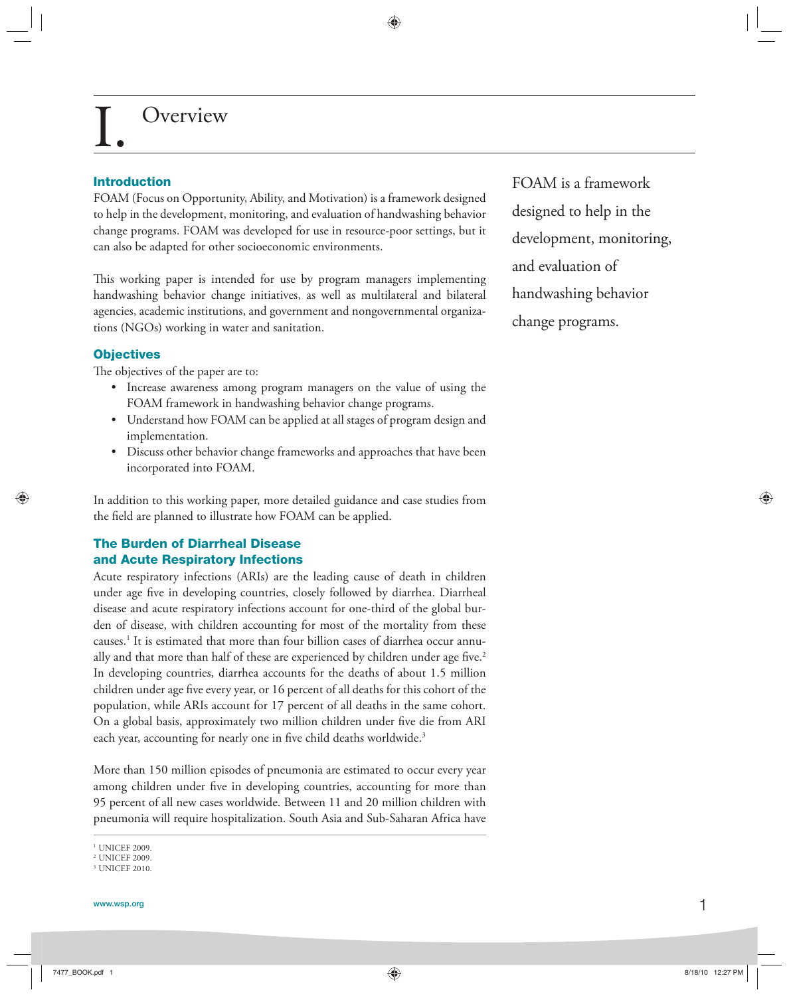# **Overview**

#### **Introduction**

FOAM (Focus on Opportunity, Ability, and Motivation) is a framework designed to help in the development, monitoring, and evaluation of handwashing behavior change programs. FOAM was developed for use in resource-poor settings, but it can also be adapted for other socioeconomic environments.

This working paper is intended for use by program managers implementing handwashing behavior change initiatives, as well as multilateral and bilateral agencies, academic institutions, and government and nongovernmental organizations (NGOs) working in water and sanitation.

#### **Objectives**

The objectives of the paper are to:

- Increase awareness among program managers on the value of using the FOAM framework in handwashing behavior change programs.
- Understand how FOAM can be applied at all stages of program design and implementation.
- Discuss other behavior change frameworks and approaches that have been incorporated into FOAM.

In addition to this working paper, more detailed guidance and case studies from the field are planned to illustrate how FOAM can be applied.

#### **The Burden of Diarrheal Disease and Acute Respiratory Infections**

Acute respiratory infections (ARIs) are the leading cause of death in children under age five in developing countries, closely followed by diarrhea. Diarrheal disease and acute respiratory infections account for one-third of the global burden of disease, with children accounting for most of the mortality from these causes.1 It is estimated that more than four billion cases of diarrhea occur annually and that more than half of these are experienced by children under age five.<sup>2</sup> In developing countries, diarrhea accounts for the deaths of about 1.5 million children under age five every year, or 16 percent of all deaths for this cohort of the population, while ARIs account for 17 percent of all deaths in the same cohort. On a global basis, approximately two million children under five die from ARI each year, accounting for nearly one in five child deaths worldwide.<sup>3</sup>

More than 150 million episodes of pneumonia are estimated to occur every year among children under five in developing countries, accounting for more than 95 percent of all new cases worldwide. Between 11 and 20 million children with pneumonia will require hospitalization. South Asia and Sub-Saharan Africa have

FOAM is a framework designed to help in the development, monitoring, and evaluation of handwashing behavior change programs.

<sup>&</sup>lt;sup>1</sup> UNICEF 2009.

<sup>2</sup> UNICEF 2009.

<sup>3</sup> UNICEF 2010.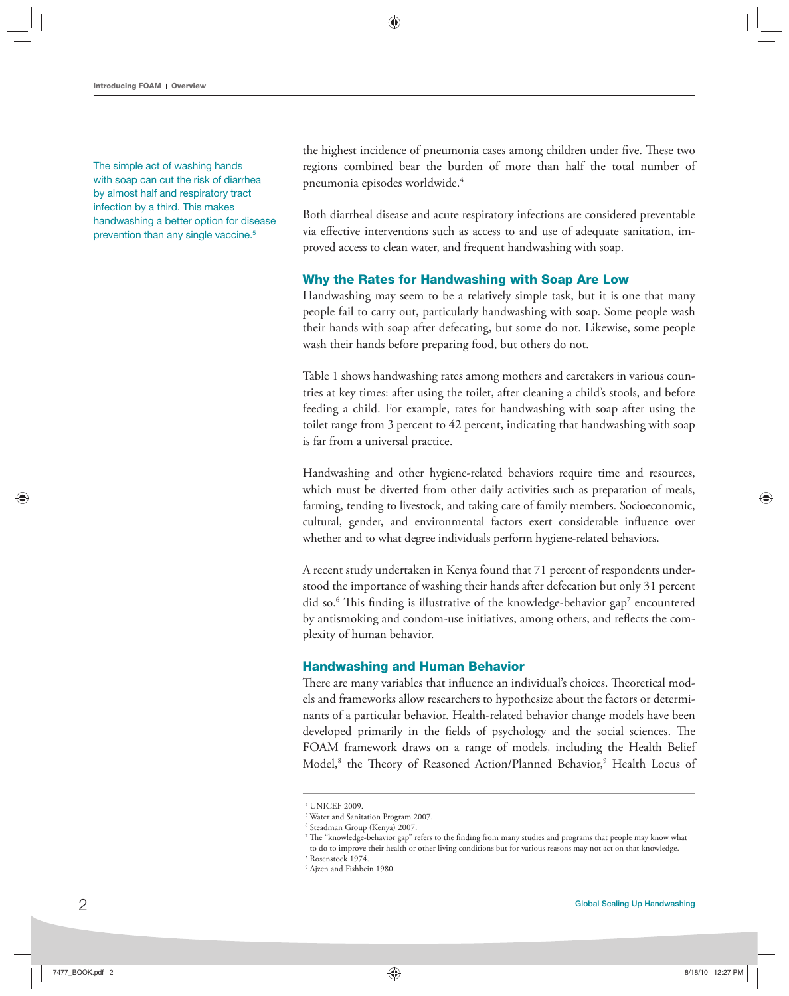The simple act of washing hands with soap can cut the risk of diarrhea by almost half and respiratory tract infection by a third. This makes handwashing a better option for disease prevention than any single vaccine.<sup>5</sup>

the highest incidence of pneumonia cases among children under five. These two regions combined bear the burden of more than half the total number of pneumonia episodes worldwide.4

Both diarrheal disease and acute respiratory infections are considered preventable via effective interventions such as access to and use of adequate sanitation, improved access to clean water, and frequent handwashing with soap.

#### **Why the Rates for Handwashing with Soap Are Low**

Handwashing may seem to be a relatively simple task, but it is one that many people fail to carry out, particularly handwashing with soap. Some people wash their hands with soap after defecating, but some do not. Likewise, some people wash their hands before preparing food, but others do not.

Table 1 shows handwashing rates among mothers and caretakers in various countries at key times: after using the toilet, after cleaning a child's stools, and before feeding a child. For example, rates for handwashing with soap after using the toilet range from 3 percent to 42 percent, indicating that handwashing with soap is far from a universal practice.

Handwashing and other hygiene-related behaviors require time and resources, which must be diverted from other daily activities such as preparation of meals, farming, tending to livestock, and taking care of family members. Socioeconomic, cultural, gender, and environmental factors exert considerable influence over whether and to what degree individuals perform hygiene-related behaviors.

A recent study undertaken in Kenya found that 71 percent of respondents understood the importance of washing their hands after defecation but only 31 percent did so.<sup>6</sup> This finding is illustrative of the knowledge-behavior gap<sup>7</sup> encountered by antismoking and condom-use initiatives, among others, and reflects the complexity of human behavior.

#### **Handwashing and Human Behavior**

There are many variables that influence an individual's choices. Theoretical models and frameworks allow researchers to hypothesize about the factors or determinants of a particular behavior. Health-related behavior change models have been developed primarily in the fields of psychology and the social sciences. The FOAM framework draws on a range of models, including the Health Belief Model,<sup>8</sup> the Theory of Reasoned Action/Planned Behavior,<sup>9</sup> Health Locus of

 <sup>4</sup> UNICEF 2009.

 <sup>5</sup> Water and Sanitation Program 2007.

 <sup>6</sup> Steadman Group (Kenya) 2007.

 $^7$  The "knowledge-behavior gap" refers to the finding from many studies and programs that people may know what

to do to improve their health or other living conditions but for various reasons may not act on that knowledge.

 <sup>8</sup> Rosenstock 1974.

 <sup>9</sup> Ajzen and Fishbein 1980.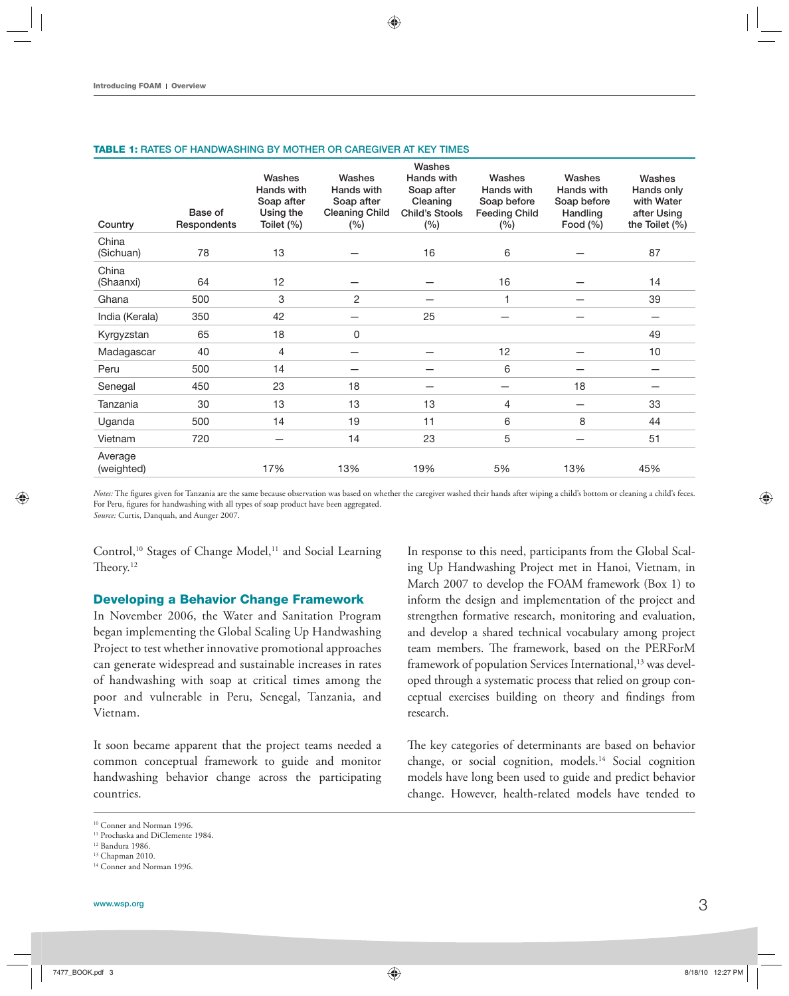| Country               | Base of<br>Respondents | Washes<br>Hands with<br>Soap after<br>Using the<br>Toilet (%) | Washes<br>Hands with<br>Soap after<br><b>Cleaning Child</b><br>(%) | Washes<br>Hands with<br>Soap after<br>Cleaning<br><b>Child's Stools</b><br>(%) | Washes<br>Hands with<br>Soap before<br><b>Feeding Child</b><br>(%) | Washes<br>Hands with<br>Soap before<br>Handling<br>Food $(\% )$ | Washes<br>Hands only<br>with Water<br>after Using<br>the Toilet (%) |
|-----------------------|------------------------|---------------------------------------------------------------|--------------------------------------------------------------------|--------------------------------------------------------------------------------|--------------------------------------------------------------------|-----------------------------------------------------------------|---------------------------------------------------------------------|
| China<br>(Sichuan)    | 78                     | 13                                                            |                                                                    | 16                                                                             | 6                                                                  |                                                                 | 87                                                                  |
| China<br>(Shaanxi)    | 64                     | 12                                                            |                                                                    |                                                                                | 16                                                                 |                                                                 | 14                                                                  |
| Ghana                 | 500                    | 3                                                             | 2                                                                  |                                                                                | 1                                                                  |                                                                 | 39                                                                  |
| India (Kerala)        | 350                    | 42                                                            | —                                                                  | 25                                                                             |                                                                    |                                                                 |                                                                     |
| Kyrgyzstan            | 65                     | 18                                                            | 0                                                                  |                                                                                |                                                                    |                                                                 | 49                                                                  |
| Madagascar            | 40                     | 4                                                             | —                                                                  |                                                                                | 12                                                                 |                                                                 | 10                                                                  |
| Peru                  | 500                    | 14                                                            |                                                                    |                                                                                | 6                                                                  |                                                                 |                                                                     |
| Senegal               | 450                    | 23                                                            | 18                                                                 |                                                                                |                                                                    | 18                                                              |                                                                     |
| Tanzania              | 30                     | 13                                                            | 13                                                                 | 13                                                                             | 4                                                                  |                                                                 | 33                                                                  |
| Uganda                | 500                    | 14                                                            | 19                                                                 | 11                                                                             | 6                                                                  | 8                                                               | 44                                                                  |
| Vietnam               | 720                    |                                                               | 14                                                                 | 23                                                                             | 5                                                                  |                                                                 | 51                                                                  |
| Average<br>(weighted) |                        | 17%                                                           | 13%                                                                | 19%                                                                            | 5%                                                                 | 13%                                                             | 45%                                                                 |

#### **TABLE 1: RATES OF HANDWASHING BY MOTHER OR CAREGIVER AT KEY TIMES**

Notes: The figures given for Tanzania are the same because observation was based on whether the caregiver washed their hands after wiping a child's bottom or cleaning a child's feces. For Peru, figures for handwashing with all types of soap product have been aggregated. *Source:* Curtis, Danquah, and Aunger 2007.

Control,<sup>10</sup> Stages of Change Model,<sup>11</sup> and Social Learning Theory.<sup>12</sup>

#### **Developing a Behavior Change Framework**

In November 2006, the Water and Sanitation Program began implementing the Global Scaling Up Handwashing Project to test whether innovative promotional approaches can generate widespread and sustainable increases in rates of handwashing with soap at critical times among the poor and vulnerable in Peru, Senegal, Tanzania, and Vietnam.

It soon became apparent that the project teams needed a common conceptual framework to guide and monitor handwashing behavior change across the participating countries.

In response to this need, participants from the Global Scaling Up Handwashing Project met in Hanoi, Vietnam, in March 2007 to develop the FOAM framework (Box 1) to inform the design and implementation of the project and strengthen formative research, monitoring and evaluation, and develop a shared technical vocabulary among project team members. The framework, based on the PERForM framework of population Services International,<sup>13</sup> was developed through a systematic process that relied on group conceptual exercises building on theory and findings from research.

The key categories of determinants are based on behavior change, or social cognition, models.14 Social cognition models have long been used to guide and predict behavior change. However, health-related models have tended to

<sup>10</sup> Conner and Norman 1996.

<sup>&</sup>lt;sup>11</sup> Prochaska and DiClemente 1984.

<sup>12</sup> Bandura 1986.

<sup>13</sup> Chapman 2010.

<sup>&</sup>lt;sup>14</sup> Conner and Norman 1996.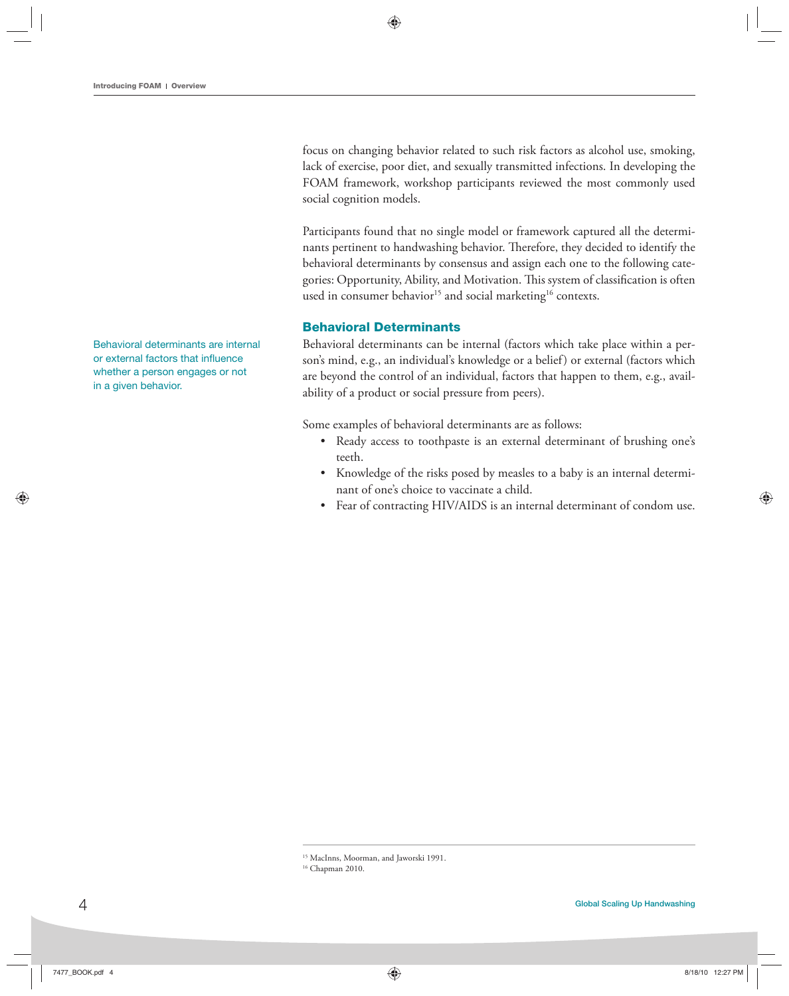focus on changing behavior related to such risk factors as alcohol use, smoking, lack of exercise, poor diet, and sexually transmitted infections. In developing the FOAM framework, workshop participants reviewed the most commonly used social cognition models.

Participants found that no single model or framework captured all the determinants pertinent to handwashing behavior. Therefore, they decided to identify the behavioral determinants by consensus and assign each one to the following categories: Opportunity, Ability, and Motivation. This system of classification is often used in consumer behavior<sup>15</sup> and social marketing<sup>16</sup> contexts.

#### **Behavioral Determinants**

Behavioral determinants can be internal (factors which take place within a person's mind, e.g., an individual's knowledge or a belief) or external (factors which are beyond the control of an individual, factors that happen to them, e.g., availability of a product or social pressure from peers).

Some examples of behavioral determinants are as follows:

- Ready access to toothpaste is an external determinant of brushing one's teeth.
- Knowledge of the risks posed by measles to a baby is an internal determinant of one's choice to vaccinate a child.
- Fear of contracting HIV/AIDS is an internal determinant of condom use.

Behavioral determinants are internal or external factors that influence whether a person engages or not in a given behavior.

16 Chapman 2010.

<sup>15</sup> MacInns, Moorman, and Jaworski 1991.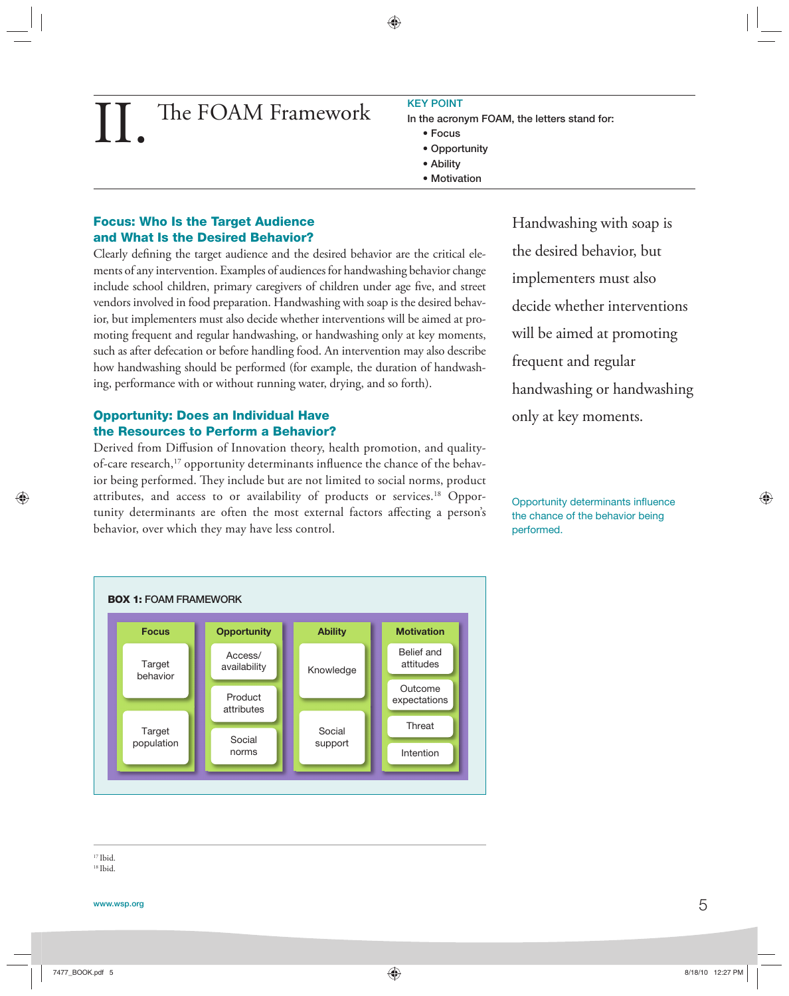## The FOAM Framework **KEY POINT** II.

- **In the acronym FOAM, the letters stand for:**
	- **Focus**
	- **Opportunity**
	- **Ability**
	- **Motivation**

### **Focus: Who Is the Target Audience and What Is the Desired Behavior?**

Clearly defining the target audience and the desired behavior are the critical elements of any intervention. Examples of audiences for handwashing behavior change include school children, primary caregivers of children under age five, and street vendors involved in food preparation. Handwashing with soap is the desired behavior, but implementers must also decide whether interventions will be aimed at promoting frequent and regular handwashing, or handwashing only at key moments, such as after defecation or before handling food. An intervention may also describe how handwashing should be performed (for example, the duration of handwashing, performance with or without running water, drying, and so forth).

### **Opportunity: Does an Individual Have the Resources to Perform a Behavior?**

Derived from Diffusion of Innovation theory, health promotion, and qualityof-care research,<sup>17</sup> opportunity determinants influence the chance of the behavior being performed. They include but are not limited to social norms, product attributes, and access to or availability of products or services.<sup>18</sup> Opportunity determinants are often the most external factors affecting a person's behavior, over which they may have less control.

Handwashing with soap is the desired behavior, but implementers must also decide whether interventions will be aimed at promoting frequent and regular handwashing or handwashing only at key moments.

Opportunity determinants influence the chance of the behavior being performed.



17 Ibid. 18 Ibid.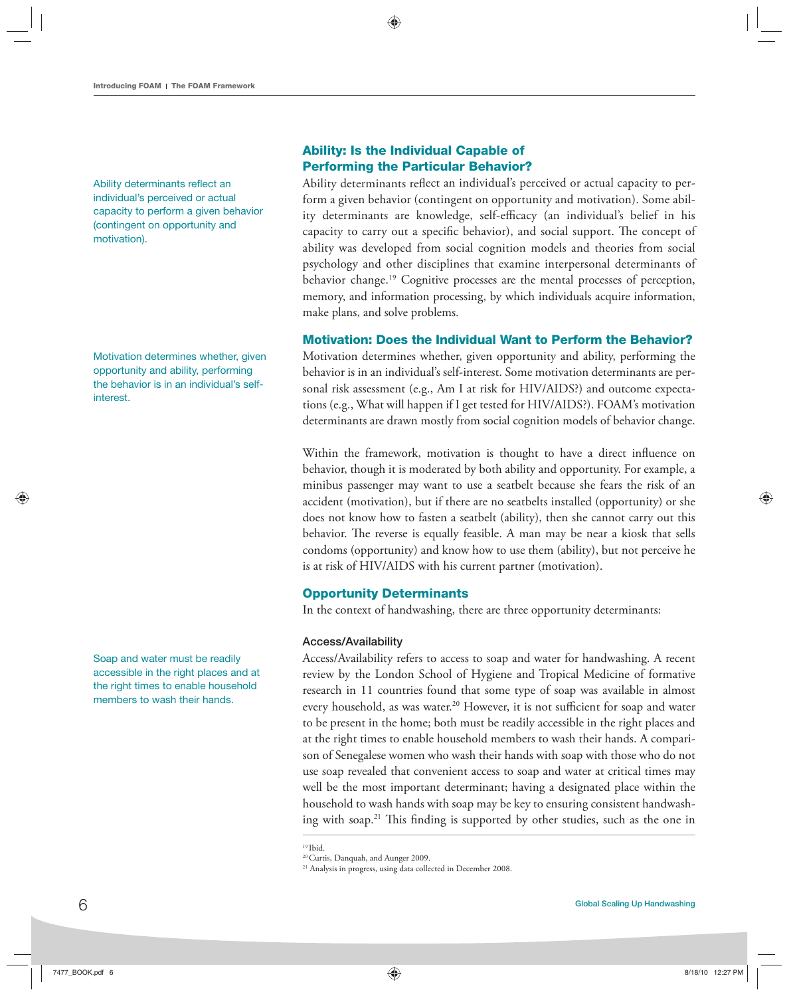Ability determinants reflect an individual's perceived or actual capacity to perform a given behavior (contingent on opportunity and motivation).

Motivation determines whether, given opportunity and ability, performing the behavior is in an individual's selfinterest.

Soap and water must be readily accessible in the right places and at the right times to enable household members to wash their hands.

#### **Ability: Is the Individual Capable of Performing the Particular Behavior?**

Ability determinants reflect an individual's perceived or actual capacity to perform a given behavior (contingent on opportunity and motivation). Some ability determinants are knowledge, self-efficacy (an individual's belief in his capacity to carry out a specific behavior), and social support. The concept of ability was developed from social cognition models and theories from social psychology and other disciplines that examine interpersonal determinants of behavior change.<sup>19</sup> Cognitive processes are the mental processes of perception, memory, and information processing, by which individuals acquire information, make plans, and solve problems.

#### **Motivation: Does the Individual Want to Perform the Behavior?**

Motivation determines whether, given opportunity and ability, performing the behavior is in an individual's self-interest. Some motivation determinants are personal risk assessment (e.g., Am I at risk for HIV/AIDS?) and outcome expectations (e.g., What will happen if I get tested for HIV/AIDS?). FOAM's motivation determinants are drawn mostly from social cognition models of behavior change.

Within the framework, motivation is thought to have a direct influence on behavior, though it is moderated by both ability and opportunity. For example, a minibus passenger may want to use a seatbelt because she fears the risk of an accident (motivation), but if there are no seatbelts installed (opportunity) or she does not know how to fasten a seatbelt (ability), then she cannot carry out this behavior. The reverse is equally feasible. A man may be near a kiosk that sells condoms (opportunity) and know how to use them (ability), but not perceive he is at risk of HIV/AIDS with his current partner (motivation).

#### **Opportunity Determinants**

In the context of handwashing, there are three opportunity determinants:

#### **Access/Availability**

Access/Availability refers to access to soap and water for handwashing. A recent review by the London School of Hygiene and Tropical Medicine of formative research in 11 countries found that some type of soap was available in almost every household, as was water.<sup>20</sup> However, it is not sufficient for soap and water to be present in the home; both must be readily accessible in the right places and at the right times to enable household members to wash their hands. A comparison of Senegalese women who wash their hands with soap with those who do not use soap revealed that convenient access to soap and water at critical times may well be the most important determinant; having a designated place within the household to wash hands with soap may be key to ensuring consistent handwashing with soap.<sup>21</sup> This finding is supported by other studies, such as the one in

<sup>19</sup> Ibid.

<sup>20</sup> Curtis, Danquah, and Aunger 2009.

<sup>&</sup>lt;sup>21</sup> Analysis in progress, using data collected in December 2008.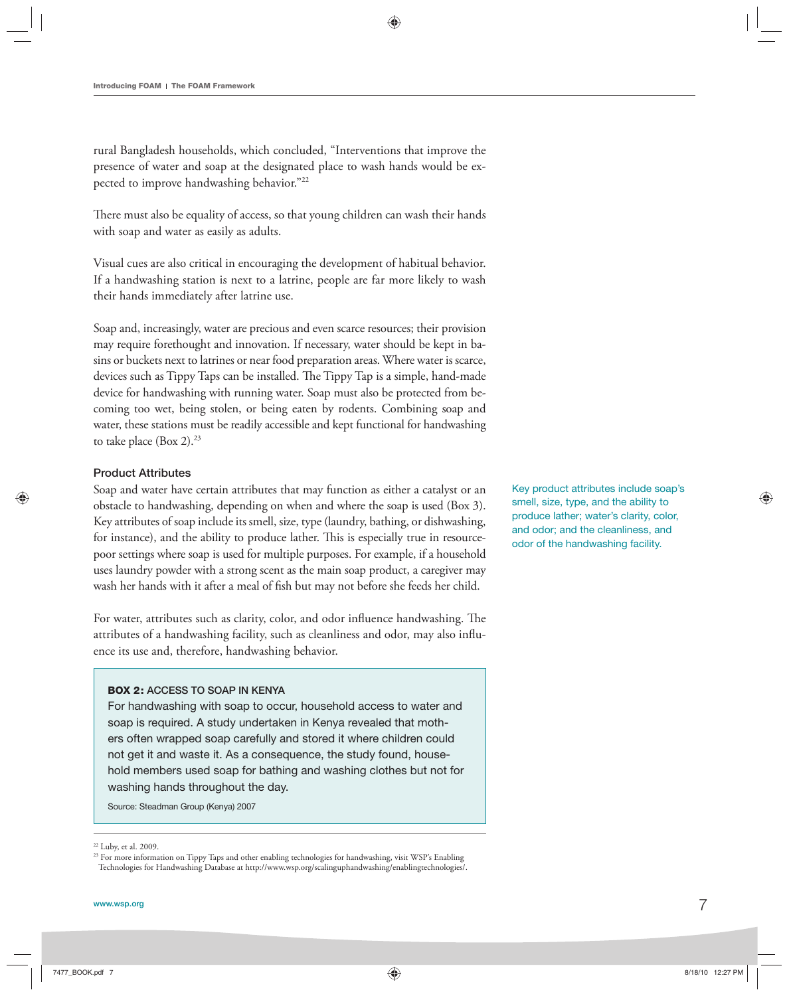rural Bangladesh households, which concluded, "Interventions that improve the presence of water and soap at the designated place to wash hands would be expected to improve handwashing behavior."22

There must also be equality of access, so that young children can wash their hands with soap and water as easily as adults.

Visual cues are also critical in encouraging the development of habitual behavior. If a handwashing station is next to a latrine, people are far more likely to wash their hands immediately after latrine use.

Soap and, increasingly, water are precious and even scarce resources; their provision may require forethought and innovation. If necessary, water should be kept in basins or buckets next to latrines or near food preparation areas. Where water is scarce, devices such as Tippy Taps can be installed. The Tippy Tap is a simple, hand-made device for handwashing with running water. Soap must also be protected from becoming too wet, being stolen, or being eaten by rodents. Combining soap and water, these stations must be readily accessible and kept functional for handwashing to take place  $(Box 2).^{23}$ 

#### **Product Attributes**

Soap and water have certain attributes that may function as either a catalyst or an obstacle to handwashing, depending on when and where the soap is used (Box 3). Key attributes of soap include its smell, size, type (laundry, bathing, or dishwashing, for instance), and the ability to produce lather. This is especially true in resourcepoor settings where soap is used for multiple purposes. For example, if a household uses laundry powder with a strong scent as the main soap product, a caregiver may wash her hands with it after a meal of fish but may not before she feeds her child.

For water, attributes such as clarity, color, and odor influence handwashing. The attributes of a handwashing facility, such as cleanliness and odor, may also influence its use and, therefore, handwashing behavior.

#### **BOX 2: ACCESS TO SOAP IN KENYA**

For handwashing with soap to occur, household access to water and soap is required. A study undertaken in Kenya revealed that mothers often wrapped soap carefully and stored it where children could not get it and waste it. As a consequence, the study found, household members used soap for bathing and washing clothes but not for washing hands throughout the day.

Source: Steadman Group (Kenya) 2007

Key product attributes include soap's smell, size, type, and the ability to produce lather; water's clarity, color, and odor; and the cleanliness, and odor of the handwashing facility.

<sup>22</sup> Luby, et al. 2009.

<sup>&</sup>lt;sup>23</sup> For more information on Tippy Taps and other enabling technologies for handwashing, visit WSP's Enabling Technologies for Handwashing Database at http://www.wsp.org/scalinguphandwashing/enablingtechnologies/.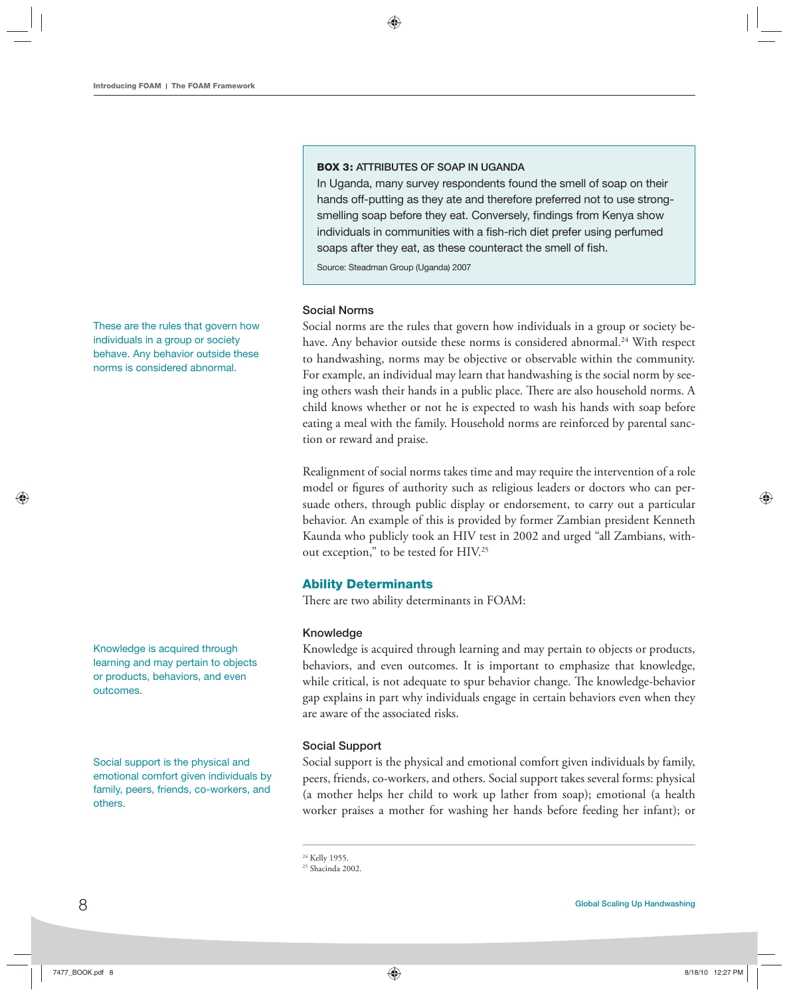These are the rules that govern how individuals in a group or society behave. Any behavior outside these norms is considered abnormal.

Knowledge is acquired through learning and may pertain to objects or products, behaviors, and even outcomes.

Social support is the physical and emotional comfort given individuals by family, peers, friends, co-workers, and others.

#### **BOX 3: ATTRIBUTES OF SOAP IN UGANDA**

In Uganda, many survey respondents found the smell of soap on their hands off-putting as they ate and therefore preferred not to use strongsmelling soap before they eat. Conversely, findings from Kenya show individuals in communities with a fish-rich diet prefer using perfumed soaps after they eat, as these counteract the smell of fish.

Source: Steadman Group (Uganda) 2007

#### **Social Norms**

Social norms are the rules that govern how individuals in a group or society behave. Any behavior outside these norms is considered abnormal.<sup>24</sup> With respect to handwashing, norms may be objective or observable within the community. For example, an individual may learn that handwashing is the social norm by seeing others wash their hands in a public place. There are also household norms. A child knows whether or not he is expected to wash his hands with soap before eating a meal with the family. Household norms are reinforced by parental sanction or reward and praise.

Realignment of social norms takes time and may require the intervention of a role model or figures of authority such as religious leaders or doctors who can persuade others, through public display or endorsement, to carry out a particular behavior. An example of this is provided by former Zambian president Kenneth Kaunda who publicly took an HIV test in 2002 and urged "all Zambians, without exception," to be tested for HIV.<sup>25</sup>

#### **Ability Determinants**

There are two ability determinants in FOAM:

#### **Knowledge**

Knowledge is acquired through learning and may pertain to objects or products, behaviors, and even outcomes. It is important to emphasize that knowledge, while critical, is not adequate to spur behavior change. The knowledge-behavior gap explains in part why individuals engage in certain behaviors even when they are aware of the associated risks.

#### **Social Support**

Social support is the physical and emotional comfort given individuals by family, peers, friends, co-workers, and others. Social support takes several forms: physical (a mother helps her child to work up lather from soap); emotional (a health worker praises a mother for washing her hands before feeding her infant); or

<sup>&</sup>lt;sup>24</sup> Kelly 1955.

<sup>25</sup> Shacinda 2002.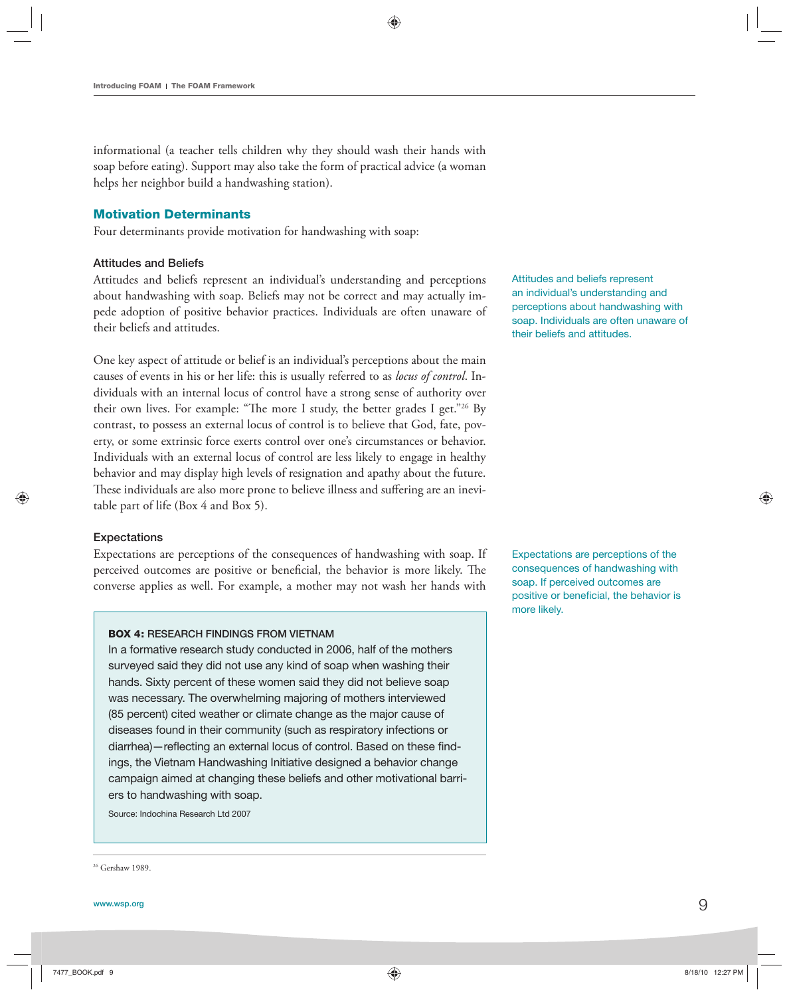informational (a teacher tells children why they should wash their hands with soap before eating). Support may also take the form of practical advice (a woman helps her neighbor build a handwashing station).

#### **Motivation Determinants**

Four determinants provide motivation for handwashing with soap:

#### **Attitudes and Beliefs**

Attitudes and beliefs represent an individual's understanding and perceptions about handwashing with soap. Beliefs may not be correct and may actually impede adoption of positive behavior practices. Individuals are often unaware of their beliefs and attitudes.

One key aspect of attitude or belief is an individual's perceptions about the main causes of events in his or her life: this is usually referred to as *locus of control*. Individuals with an internal locus of control have a strong sense of authority over their own lives. For example: "The more I study, the better grades I get."<sup>26</sup> By contrast, to possess an external locus of control is to believe that God, fate, poverty, or some extrinsic force exerts control over one's circumstances or behavior. Individuals with an external locus of control are less likely to engage in healthy behavior and may display high levels of resignation and apathy about the future. These individuals are also more prone to believe illness and suffering are an inevitable part of life (Box 4 and Box 5).

#### **Expectations**

Expectations are perceptions of the consequences of handwashing with soap. If perceived outcomes are positive or beneficial, the behavior is more likely. The converse applies as well. For example, a mother may not wash her hands with

#### **BOX 4: RESEARCH FINDINGS FROM VIETNAM**

In a formative research study conducted in 2006, half of the mothers surveyed said they did not use any kind of soap when washing their hands. Sixty percent of these women said they did not believe soap was necessary. The overwhelming majoring of mothers interviewed (85 percent) cited weather or climate change as the major cause of diseases found in their community (such as respiratory infections or diarrhea)—reflecting an external locus of control. Based on these findings, the Vietnam Handwashing Initiative designed a behavior change campaign aimed at changing these beliefs and other motivational barriers to handwashing with soap.

Source: Indochina Research Ltd 2007

Attitudes and beliefs represent an individual's understanding and perceptions about handwashing with soap. Individuals are often unaware of their beliefs and attitudes.

Expectations are perceptions of the consequences of handwashing with soap. If perceived outcomes are positive or beneficial, the behavior is more likely.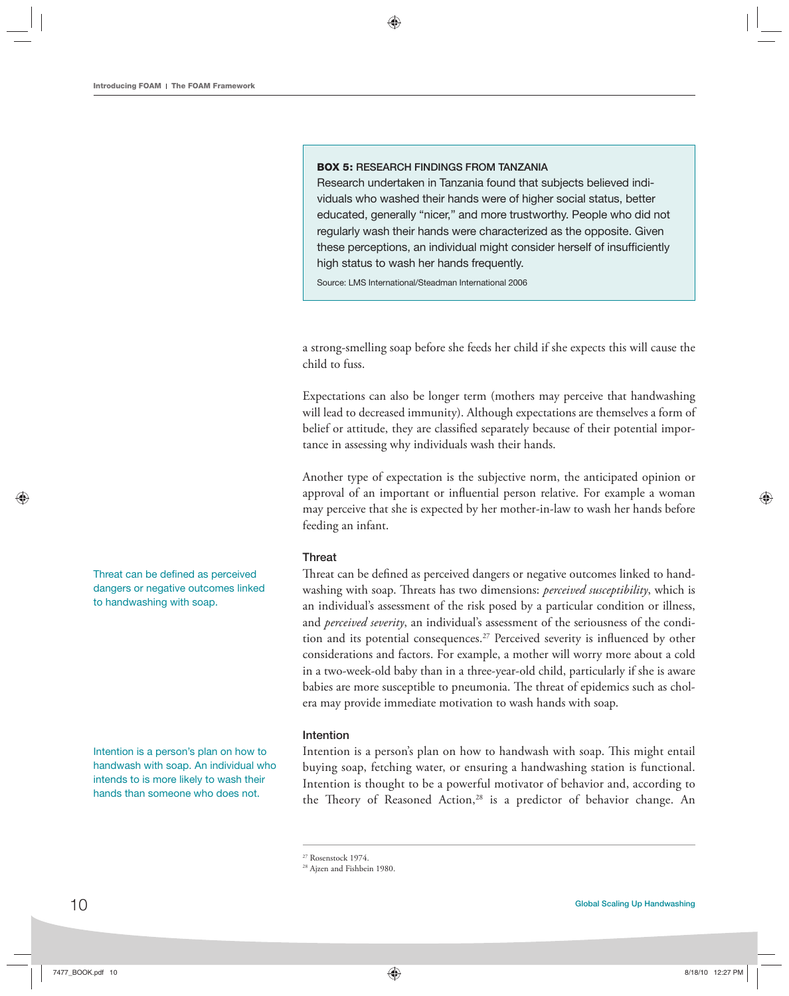#### **BOX 5: RESEARCH FINDINGS FROM TANZANIA**

Research undertaken in Tanzania found that subjects believed individuals who washed their hands were of higher social status, better educated, generally "nicer," and more trustworthy. People who did not regularly wash their hands were characterized as the opposite. Given these perceptions, an individual might consider herself of insufficiently high status to wash her hands frequently.

Source: LMS International/Steadman International 2006

a strong-smelling soap before she feeds her child if she expects this will cause the child to fuss.

Expectations can also be longer term (mothers may perceive that handwashing will lead to decreased immunity). Although expectations are themselves a form of belief or attitude, they are classified separately because of their potential importance in assessing why individuals wash their hands.

Another type of expectation is the subjective norm, the anticipated opinion or approval of an important or influential person relative. For example a woman may perceive that she is expected by her mother-in-law to wash her hands before feeding an infant.

#### **Threat**

Threat can be defined as perceived dangers or negative outcomes linked to handwashing with soap. Threats has two dimensions: *perceived susceptibility*, which is an individual's assessment of the risk posed by a particular condition or illness, and *perceived severity*, an individual's assessment of the seriousness of the condition and its potential consequences.<sup>27</sup> Perceived severity is influenced by other considerations and factors. For example, a mother will worry more about a cold in a two-week-old baby than in a three-year-old child, particularly if she is aware babies are more susceptible to pneumonia. The threat of epidemics such as cholera may provide immediate motivation to wash hands with soap.

#### **Intention**

Intention is a person's plan on how to handwash with soap. This might entail buying soap, fetching water, or ensuring a handwashing station is functional. Intention is thought to be a powerful motivator of behavior and, according to the Theory of Reasoned Action,<sup>28</sup> is a predictor of behavior change. An

27 Rosenstock 1974.

Threat can be defined as perceived dangers or negative outcomes linked

to handwashing with soap.

Intention is a person's plan on how to handwash with soap. An individual who intends to is more likely to wash their hands than someone who does not.

<sup>28</sup> Ajzen and Fishbein 1980.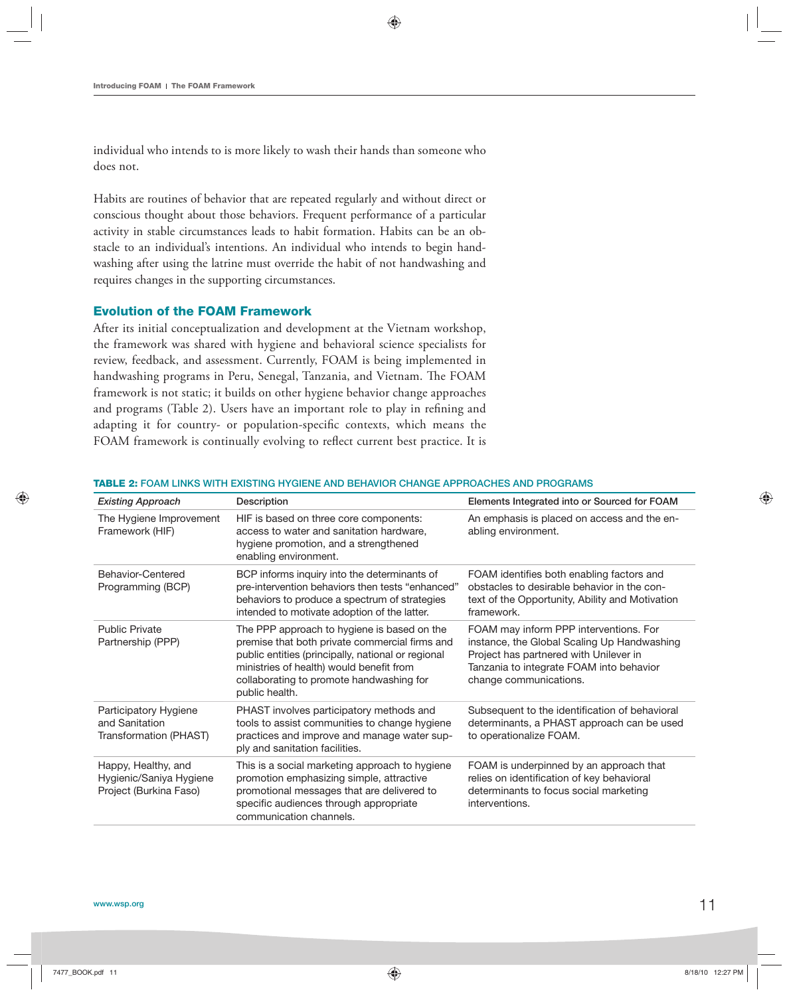individual who intends to is more likely to wash their hands than someone who does not.

Habits are routines of behavior that are repeated regularly and without direct or conscious thought about those behaviors. Frequent performance of a particular activity in stable circumstances leads to habit formation. Habits can be an obstacle to an individual's intentions. An individual who intends to begin handwashing after using the latrine must override the habit of not handwashing and requires changes in the supporting circumstances.

#### **Evolution of the FOAM Framework**

After its initial conceptualization and development at the Vietnam workshop, the framework was shared with hygiene and behavioral science specialists for review, feedback, and assessment. Currently, FOAM is being implemented in handwashing programs in Peru, Senegal, Tanzania, and Vietnam. The FOAM framework is not static; it builds on other hygiene behavior change approaches and programs (Table 2). Users have an important role to play in refining and adapting it for country- or population-specific contexts, which means the FOAM framework is continually evolving to reflect current best practice. It is

| <b>Existing Approach</b>                                                 | Description                                                                                                                                                                                                                                                   | Elements Integrated into or Sourced for FOAM                                                                                                                                                          |
|--------------------------------------------------------------------------|---------------------------------------------------------------------------------------------------------------------------------------------------------------------------------------------------------------------------------------------------------------|-------------------------------------------------------------------------------------------------------------------------------------------------------------------------------------------------------|
| The Hygiene Improvement<br>Framework (HIF)                               | HIF is based on three core components:<br>access to water and sanitation hardware,<br>hygiene promotion, and a strengthened<br>enabling environment.                                                                                                          | An emphasis is placed on access and the en-<br>abling environment.                                                                                                                                    |
| <b>Behavior-Centered</b><br>Programming (BCP)                            | BCP informs inquiry into the determinants of<br>pre-intervention behaviors then tests "enhanced"<br>behaviors to produce a spectrum of strategies<br>intended to motivate adoption of the latter.                                                             | FOAM identifies both enabling factors and<br>obstacles to desirable behavior in the con-<br>text of the Opportunity, Ability and Motivation<br>framework.                                             |
| Public Private<br>Partnership (PPP)                                      | The PPP approach to hygiene is based on the<br>premise that both private commercial firms and<br>public entities (principally, national or regional<br>ministries of health) would benefit from<br>collaborating to promote handwashing for<br>public health. | FOAM may inform PPP interventions. For<br>instance, the Global Scaling Up Handwashing<br>Project has partnered with Unilever in<br>Tanzania to integrate FOAM into behavior<br>change communications. |
| Participatory Hygiene<br>and Sanitation<br>Transformation (PHAST)        | PHAST involves participatory methods and<br>tools to assist communities to change hygiene<br>practices and improve and manage water sup-<br>ply and sanitation facilities.                                                                                    | Subsequent to the identification of behavioral<br>determinants, a PHAST approach can be used<br>to operationalize FOAM.                                                                               |
| Happy, Healthy, and<br>Hygienic/Saniya Hygiene<br>Project (Burkina Faso) | This is a social marketing approach to hygiene<br>promotion emphasizing simple, attractive<br>promotional messages that are delivered to<br>specific audiences through appropriate<br>communication channels.                                                 | FOAM is underpinned by an approach that<br>relies on identification of key behavioral<br>determinants to focus social marketing<br>interventions.                                                     |

#### **TABLE 2: FOAM LINKS WITH EXISTING HYGIENE AND BEHAVIOR CHANGE APPROACHES AND PROGRAMS**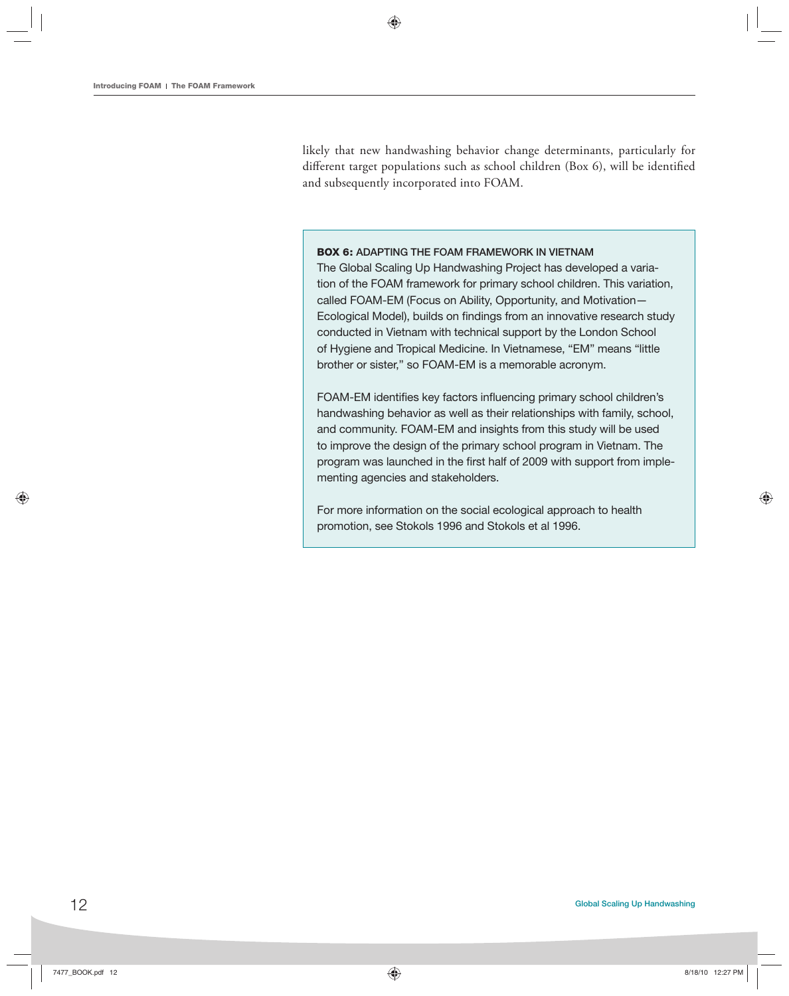likely that new handwashing behavior change determinants, particularly for different target populations such as school children (Box 6), will be identified and subsequently incorporated into FOAM.

#### **BOX 6: ADAPTING THE FOAM FRAMEWORK IN VIETNAM**

The Global Scaling Up Handwashing Project has developed a variation of the FOAM framework for primary school children. This variation, called FOAM-EM (Focus on Ability, Opportunity, and Motivation— Ecological Model), builds on findings from an innovative research study conducted in Vietnam with technical support by the London School of Hygiene and Tropical Medicine. In Vietnamese, "EM" means "little brother or sister," so FOAM-EM is a memorable acronym.

FOAM-EM identifies key factors influencing primary school children's handwashing behavior as well as their relationships with family, school, and community. FOAM-EM and insights from this study will be used to improve the design of the primary school program in Vietnam. The program was launched in the first half of 2009 with support from implementing agencies and stakeholders.

For more information on the social ecological approach to health promotion, see Stokols 1996 and Stokols et al 1996.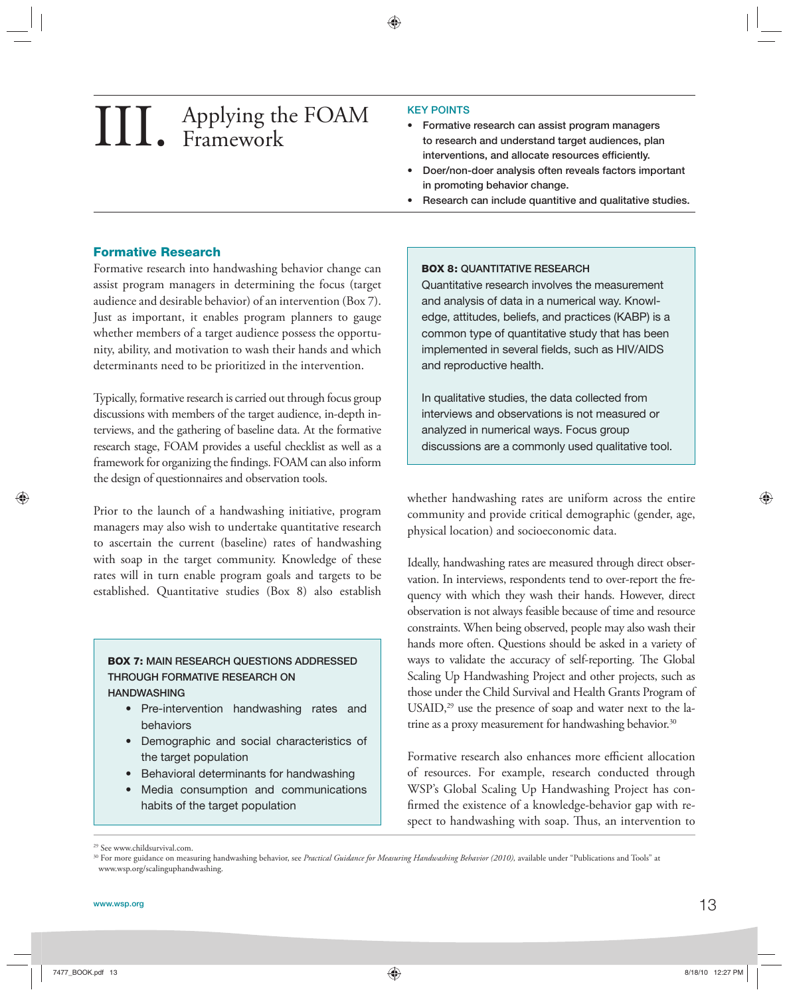## Applying the FOAM Framework III.

#### **KEY POINTS**

- **Formative research can assist program managers to research and understand target audiences, plan**  interventions, and allocate resources efficiently.
- **Doer/non-doer analysis often reveals factors important in promoting behavior change.**
- **Research can include quantitive and qualitative studies.**

#### **Formative Research**

Formative research into handwashing behavior change can assist program managers in determining the focus (target audience and desirable behavior) of an intervention (Box 7). Just as important, it enables program planners to gauge whether members of a target audience possess the opportunity, ability, and motivation to wash their hands and which determinants need to be prioritized in the intervention.

Typically, formative research is carried out through focus group discussions with members of the target audience, in-depth interviews, and the gathering of baseline data. At the formative research stage, FOAM provides a useful checklist as well as a framework for organizing the findings. FOAM can also inform the design of questionnaires and observation tools.

Prior to the launch of a handwashing initiative, program managers may also wish to undertake quantitative research to ascertain the current (baseline) rates of handwashing with soap in the target community. Knowledge of these rates will in turn enable program goals and targets to be established. Quantitative studies (Box 8) also establish

#### **BOX 7: MAIN RESEARCH QUESTIONS ADDRESSED THROUGH FORMATIVE RESEARCH ON HANDWASHING**

- Pre-intervention handwashing rates and
- behaviors
- Demographic and social characteristics of the target population
- Behavioral determinants for handwashing
- Media consumption and communications habits of the target population

#### **BOX 8: QUANTITATIVE RESEARCH**

Quantitative research involves the measurement and analysis of data in a numerical way. Knowledge, attitudes, beliefs, and practices (KABP) is a common type of quantitative study that has been implemented in several fields, such as HIV/AIDS and reproductive health.

In qualitative studies, the data collected from interviews and observations is not measured or analyzed in numerical ways. Focus group discussions are a commonly used qualitative tool.

whether handwashing rates are uniform across the entire community and provide critical demographic (gender, age, physical location) and socioeconomic data.

Ideally, handwashing rates are measured through direct observation. In interviews, respondents tend to over-report the frequency with which they wash their hands. However, direct observation is not always feasible because of time and resource constraints. When being observed, people may also wash their hands more often. Questions should be asked in a variety of ways to validate the accuracy of self-reporting. The Global Scaling Up Handwashing Project and other projects, such as those under the Child Survival and Health Grants Program of USAID,<sup>29</sup> use the presence of soap and water next to the latrine as a proxy measurement for handwashing behavior.<sup>30</sup>

Formative research also enhances more efficient allocation of resources. For example, research conducted through WSP's Global Scaling Up Handwashing Project has confirmed the existence of a knowledge-behavior gap with respect to handwashing with soap. Thus, an intervention to

<sup>29</sup> See www.childsurvival.com.

<sup>&</sup>lt;sup>30</sup> For more guidance on measuring handwashing behavior, see Practical Guidance for Measuring Handwashing Behavior (2010), available under "Publications and Tools" at www.wsp.org/scalinguphandwashing.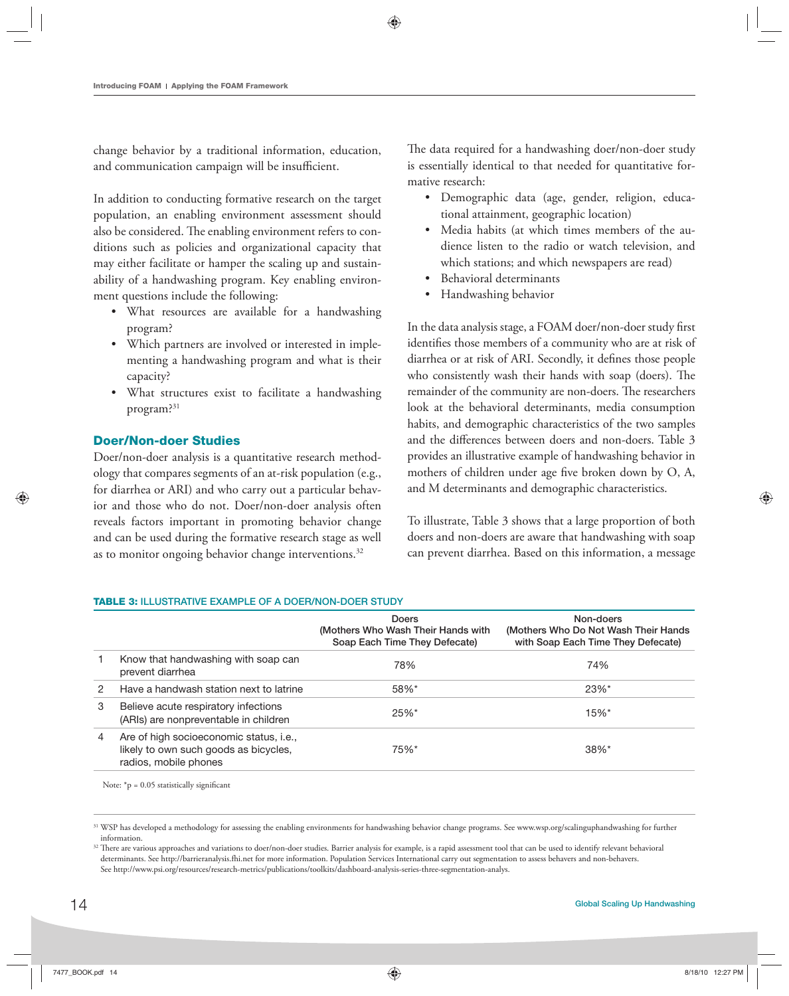change behavior by a traditional information, education, and communication campaign will be insufficient.

In addition to conducting formative research on the target population, an enabling environment assessment should also be considered. The enabling environment refers to conditions such as policies and organizational capacity that may either facilitate or hamper the scaling up and sustainability of a handwashing program. Key enabling environment questions include the following:

- What resources are available for a handwashing program?
- Which partners are involved or interested in implementing a handwashing program and what is their capacity?
- What structures exist to facilitate a handwashing program?31

#### **Doer/Non-doer Studies**

Doer/non-doer analysis is a quantitative research methodology that compares segments of an at-risk population (e.g., for diarrhea or ARI) and who carry out a particular behavior and those who do not. Doer/non-doer analysis often reveals factors important in promoting behavior change and can be used during the formative research stage as well as to monitor ongoing behavior change interventions.<sup>32</sup>

**TABLE 3: ILLUSTRATIVE EXAMPLE OF A DOER/NON-DOER STUDY**

The data required for a handwashing doer/non-doer study is essentially identical to that needed for quantitative formative research:

- Demographic data (age, gender, religion, educational attainment, geographic location)
- Media habits (at which times members of the audience listen to the radio or watch television, and which stations; and which newspapers are read)
- Behavioral determinants
- Handwashing behavior

In the data analysis stage, a FOAM doer/non-doer study first identifies those members of a community who are at risk of diarrhea or at risk of ARI. Secondly, it defines those people who consistently wash their hands with soap (doers). The remainder of the community are non-doers. The researchers look at the behavioral determinants, media consumption habits, and demographic characteristics of the two samples and the differences between doers and non-doers. Table 3 provides an illustrative example of handwashing behavior in mothers of children under age five broken down by O, A, and M determinants and demographic characteristics.

To illustrate, Table 3 shows that a large proportion of both doers and non-doers are aware that handwashing with soap can prevent diarrhea. Based on this information, a message

|    |                                                                                                           | Doers<br>(Mothers Who Wash Their Hands with<br>Soap Each Time They Defecate) | Non-doers<br>(Mothers Who Do Not Wash Their Hands)<br>with Soap Each Time They Defecate) |
|----|-----------------------------------------------------------------------------------------------------------|------------------------------------------------------------------------------|------------------------------------------------------------------------------------------|
| -1 | Know that handwashing with soap can<br>prevent diarrhea                                                   | 78%                                                                          | 74%                                                                                      |
| 2  | Have a handwash station next to latrine                                                                   | 58%*                                                                         | $23\%$ *                                                                                 |
| 3  | Believe acute respiratory infections<br>(ARIs) are nonpreventable in children                             | 25%                                                                          | $15\%$ <sup>*</sup>                                                                      |
| 4  | Are of high socioeconomic status, i.e.,<br>likely to own such goods as bicycles,<br>radios, mobile phones | 75%*                                                                         | $38\%$ *                                                                                 |

Note:  ${}^*p = 0.05$  statistically significant

<sup>&</sup>lt;sup>31</sup> WSP has developed a methodology for assessing the enabling environments for handwashing behavior change programs. See www.wsp.org/scalinguphandwashing for further information.

<sup>&</sup>lt;sup>32</sup> There are various approaches and variations to doer/non-doer studies. Barrier analysis for example, is a rapid assessment tool that can be used to identify relevant behavioral determinants. See http://barrieranalysis.fhi.net for more information. Population Services International carry out segmentation to assess behavers and non-behavers. See http://www.psi.org/resources/research-metrics/publications/toolkits/dashboard-analysis-series-three-segmentation-analys.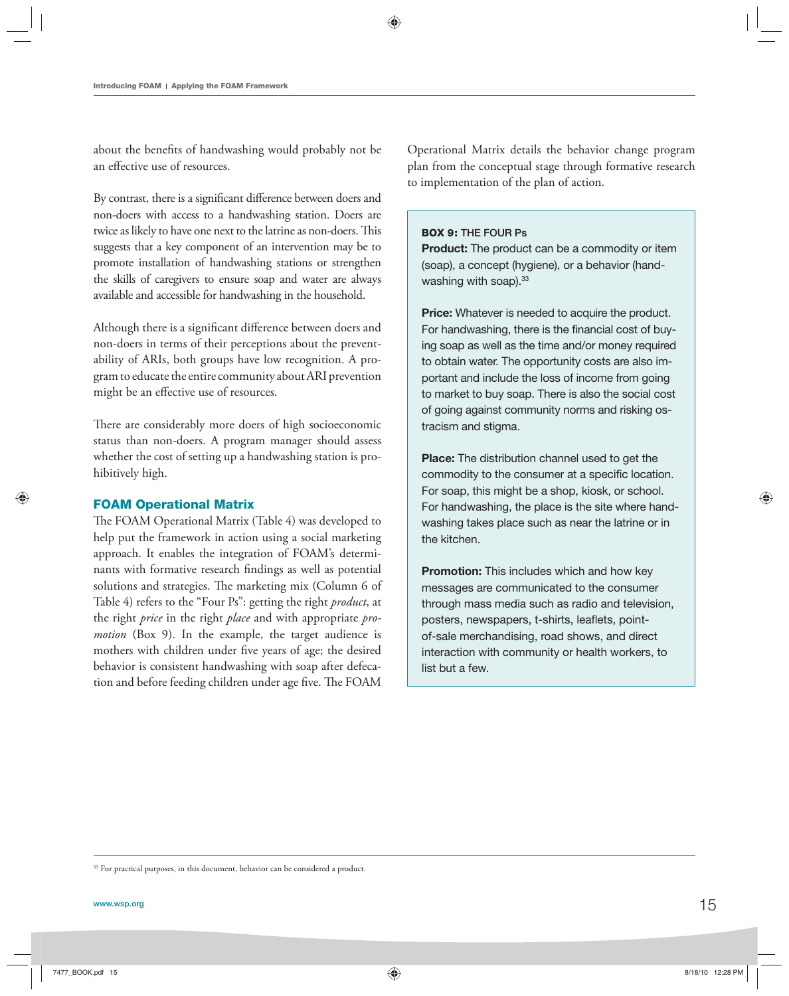about the benefits of handwashing would probably not be an effective use of resources.

By contrast, there is a significant difference between doers and non-doers with access to a handwashing station. Doers are twice as likely to have one next to the latrine as non-doers. This suggests that a key component of an intervention may be to promote installation of handwashing stations or strengthen the skills of caregivers to ensure soap and water are always available and accessible for handwashing in the household.

Although there is a significant difference between doers and non-doers in terms of their perceptions about the preventability of ARIs, both groups have low recognition. A program to educate the entire community about ARI prevention might be an effective use of resources.

There are considerably more doers of high socioeconomic status than non-doers. A program manager should assess whether the cost of setting up a handwashing station is prohibitively high.

#### **FOAM Operational Matrix**

The FOAM Operational Matrix (Table 4) was developed to help put the framework in action using a social marketing approach. It enables the integration of FOAM's determinants with formative research findings as well as potential solutions and strategies. The marketing mix (Column 6 of Table 4) refers to the "Four Ps": getting the right *product*, at the right *price* in the right *place* and with appropriate *promotion* (Box 9). In the example, the target audience is mothers with children under five years of age; the desired behavior is consistent handwashing with soap after defecation and before feeding children under age five. The FOAM

Operational Matrix details the behavior change program plan from the conceptual stage through formative research to implementation of the plan of action.

#### **BOX 9: THE FOUR Ps**

**Product:** The product can be a commodity or item (soap), a concept (hygiene), or a behavior (handwashing with soap). 33

**Price:** Whatever is needed to acquire the product. For handwashing, there is the financial cost of buying soap as well as the time and/or money required to obtain water. The opportunity costs are also important and include the loss of income from going to market to buy soap. There is also the social cost of going against community norms and risking ostracism and stigma.

**Place:** The distribution channel used to get the commodity to the consumer at a specific location. For soap, this might be a shop, kiosk, or school. For handwashing, the place is the site where handwashing takes place such as near the latrine or in the kitchen.

**Promotion:** This includes which and how key messages are communicated to the consumer through mass media such as radio and television, posters, newspapers, t-shirts, leaflets, pointof-sale merchandising, road shows, and direct interaction with community or health workers, to list but a few.

<sup>&</sup>lt;sup>33</sup> For practical purposes, in this document, behavior can be considered a product.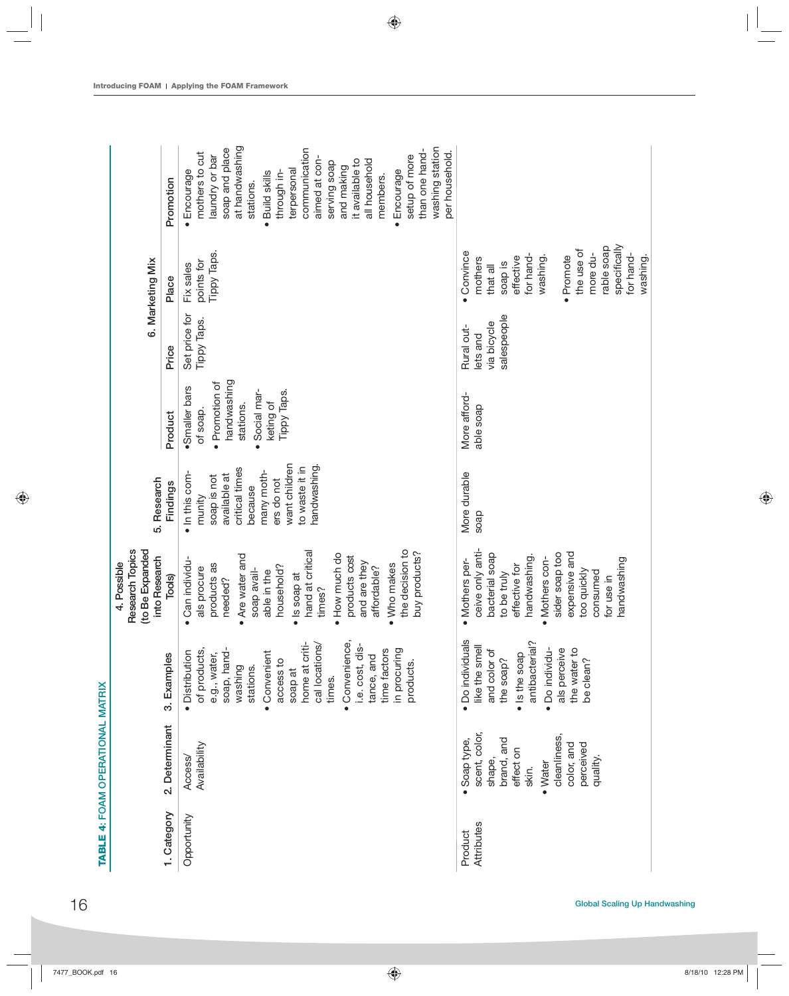|                       | TABLE 4: FOAM OPERATIONAL MATRIX                                                                                                            |                                                                                                                                                                                                                                                                                       |                                                                                                                                                                                                                                                                                                |                                                                                                                                                                    |                                                                                                                    |                                                      |                                                                                                                                                                                  |                                                                                                                                                                                                                                                                                                                                                                         |
|-----------------------|---------------------------------------------------------------------------------------------------------------------------------------------|---------------------------------------------------------------------------------------------------------------------------------------------------------------------------------------------------------------------------------------------------------------------------------------|------------------------------------------------------------------------------------------------------------------------------------------------------------------------------------------------------------------------------------------------------------------------------------------------|--------------------------------------------------------------------------------------------------------------------------------------------------------------------|--------------------------------------------------------------------------------------------------------------------|------------------------------------------------------|----------------------------------------------------------------------------------------------------------------------------------------------------------------------------------|-------------------------------------------------------------------------------------------------------------------------------------------------------------------------------------------------------------------------------------------------------------------------------------------------------------------------------------------------------------------------|
|                       |                                                                                                                                             |                                                                                                                                                                                                                                                                                       | Research Topics<br>(to Be Expanded<br>into Research<br>4. Possible                                                                                                                                                                                                                             | 5. Research                                                                                                                                                        |                                                                                                                    |                                                      | 6. Marketing Mix                                                                                                                                                                 |                                                                                                                                                                                                                                                                                                                                                                         |
| 1. Category           | 2. Determinant                                                                                                                              | 3. Examples                                                                                                                                                                                                                                                                           | Tools)                                                                                                                                                                                                                                                                                         | Findings                                                                                                                                                           | Product                                                                                                            | Price                                                | Place                                                                                                                                                                            | Promotion                                                                                                                                                                                                                                                                                                                                                               |
| Opportunity           | Availability<br>Access/                                                                                                                     | · Convenience,<br>home at criti-<br>cal locations/<br><u>ა</u><br>• Distribution<br>of products,<br>time factors<br>in procuring<br>soap, hand-<br>• Convenient<br>e.g., water,<br>i.e. cost, di<br>tance, and<br>access to<br>products.<br>washing<br>stations.<br>soap at<br>times. | the decision to<br>hand at critical<br>buy products?<br>How much do<br>Are water and<br>products cost<br>Can individu-<br>and are they<br>Who makes<br>products as<br>household?<br>affordable?<br>als procure<br>soap avail-<br>able in the<br>· Is soap at<br>needed?<br>times?<br>$\bullet$ | want children<br>handwashing<br>to waste it in<br>critical times<br>• In this com-<br>many moth-<br>available at<br>soap is not<br>ers do not<br>because<br>munity | handwashing<br>· Promotion of<br>·Smaller bars<br>Tippy Taps.<br>Social mar-<br>keting of<br>stations.<br>of soap. | Set price for<br>Tippy Taps.                         | Tippy Taps.<br>points for<br>Fix sales                                                                                                                                           | at handwashing<br>washing station<br>soap and place<br>communication<br>than one hand-<br>mothers to cut<br>per household.<br>setup of more<br>laundry or bar<br>aimed at con-<br>all household<br>it available to<br>serving soap<br>and making<br>terpersonal<br>Encourage<br>· Encourage<br>-ni dpuontt<br><b>Build skills</b><br>members.<br>stations.<br>$\bullet$ |
| Attributes<br>Product | scent, color,<br>cleanliness,<br>brand, and<br>Soap type,<br>color, and<br>perceived<br>effect on<br>quality.<br>shape,<br>• Water<br>skin. | · Do individuals<br>antibacterial?<br>like the smell<br>· Do individu-<br>als perceive<br>and color of<br>the water to<br>· Is the soap<br>the soap?<br>be clean?                                                                                                                     | ceive only anti-<br>bacterial soap<br>sider soap too<br>expensive and<br>handwashing<br>Mothers con-<br>handwashing<br>· Mothers per-<br>effective for<br>too quickly<br>consumed<br>to be truly<br>for use in                                                                                 | More durable<br>soap                                                                                                                                               | More afford-<br>able soap                                                                                          | salespeople<br>via bicycle<br>Rural out-<br>lets and | specifically<br>rable soap<br>the use of<br>• Convince<br>more du-<br>for hand-<br>for hand-<br>washing.<br>· Promote<br>washing.<br>effective<br>mothers<br>soap is<br>that all |                                                                                                                                                                                                                                                                                                                                                                         |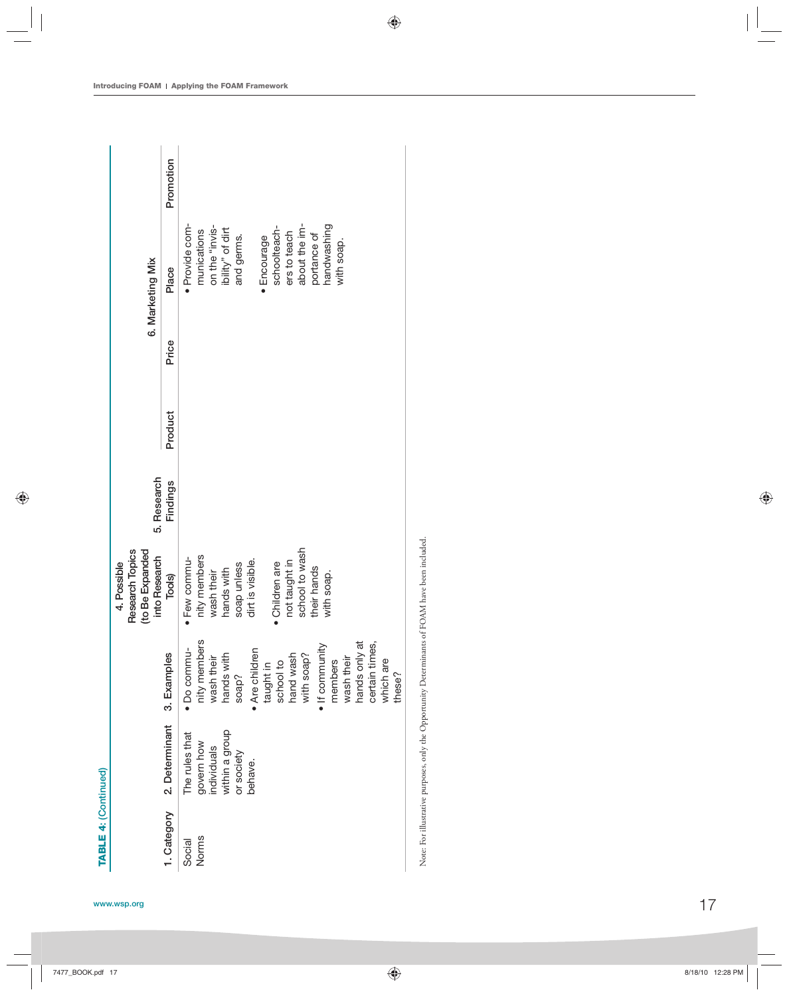|                 |                                                                                        |                                                                                                                                                                                                                                                      | (to Be Expanded<br>Research Topics<br>into Research<br>4. Possible                                                                                                            | 5. Research                                                                                    |         |       | 6. Marketing Mix                                                                                                                                                                              |           |
|-----------------|----------------------------------------------------------------------------------------|------------------------------------------------------------------------------------------------------------------------------------------------------------------------------------------------------------------------------------------------------|-------------------------------------------------------------------------------------------------------------------------------------------------------------------------------|------------------------------------------------------------------------------------------------|---------|-------|-----------------------------------------------------------------------------------------------------------------------------------------------------------------------------------------------|-----------|
| 1. Category     | 2. Determinant                                                                         | 3. Examples                                                                                                                                                                                                                                          | Tools)                                                                                                                                                                        | Findings                                                                                       | Product | Price | Place                                                                                                                                                                                         | Promotion |
| Norms<br>Social | within a group<br>The rules that<br>govern how<br>individuals<br>or society<br>behave. | nity members<br>certain times,<br>hands only at<br>$\bullet$ If community<br>· Do commu-<br>• Are children<br>hand wash<br>with soap?<br>wash their<br>hands with<br>wash their<br>taught in<br>school to<br>members<br>which are<br>soap?<br>these? | not taught in<br>school to wash<br>nity members<br>· Few commu-<br>dirt is visible.<br>· Children are<br>soap unless<br>their hands<br>hands with<br>wash their<br>with soap. | Note: For illustrative purposes, only the Opportunity Determinants of FOAM have been included. |         |       | · Provide com-<br>handwashing<br>about the im-<br>-sivni" edt no<br>schoolteach-<br>ibility" of dirt<br>munications<br>ers to teach<br>portance of<br>and germs.<br>· Encourage<br>with soap. |           |

| l<br>Ï                                                                                      |
|---------------------------------------------------------------------------------------------|
| ĺ                                                                                           |
| í<br>I<br>I<br>J                                                                            |
|                                                                                             |
| I<br>I<br>֖֖֖֖֧ׅ֖֖֧֖֧֧֖֧֖֧֚֚֚֚֚֚֚֚֚֚֚֚֚֚֚֚֚֚֚֚֚֚֚֚֚֚֚֚֬֝֝֝֝֓֞֝֓֞֝֬֞֝֓֞֝<br>í<br>í<br>I<br>J |
| $\frac{1}{2}$<br>j<br>į<br>ï<br>I<br>J                                                      |
| ï<br>Ċ<br>j<br>I<br>ı<br>i<br>í                                                             |
|                                                                                             |
| I<br>j<br>$\frac{1}{2}$<br>$\overline{a}$                                                   |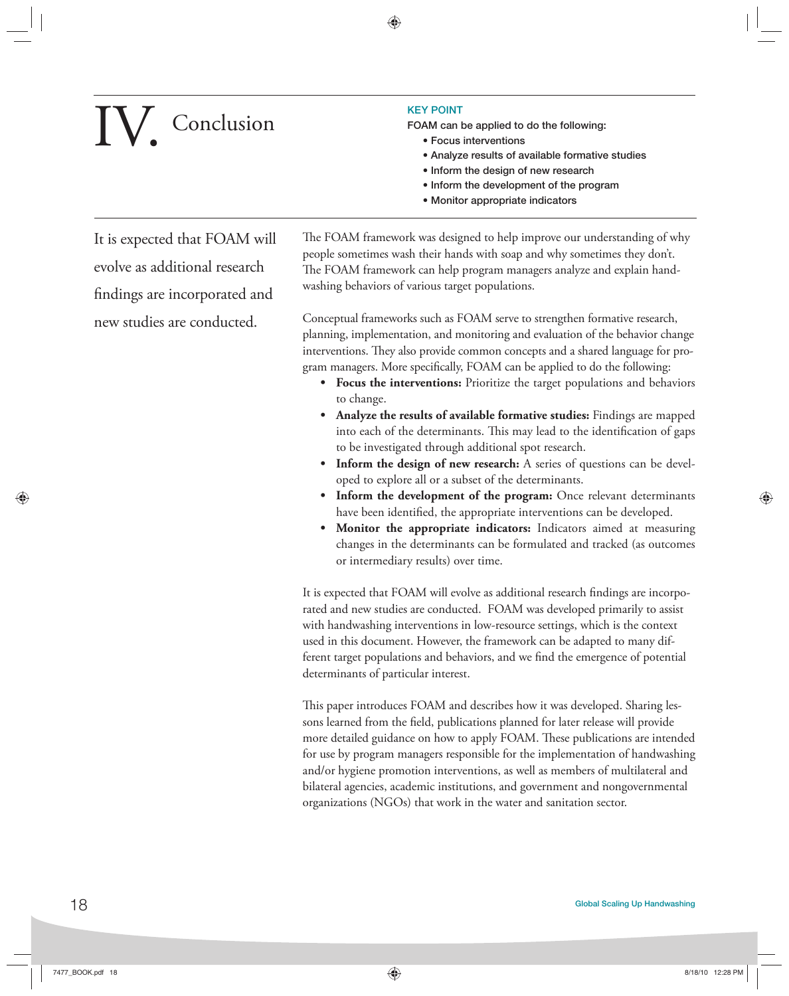# **IV.** Conclusion **KEY POINT**<br>
FOAM can I<br> **CONCLUSION**<br> **CONCLUSION**

**FOAM can be applied to do the following:**

- **Focus interventions**
- **Analyze results of available formative studies**
- **Inform the design of new research**
- **Inform the development of the program**
- **Monitor appropriate indicators**

It is expected that FOAM will evolve as additional research findings are incorporated and new studies are conducted.

The FOAM framework was designed to help improve our understanding of why people sometimes wash their hands with soap and why sometimes they don't. The FOAM framework can help program managers analyze and explain handwashing behaviors of various target populations.

Conceptual frameworks such as FOAM serve to strengthen formative research, planning, implementation, and monitoring and evaluation of the behavior change interventions. They also provide common concepts and a shared language for program managers. More specifically, FOAM can be applied to do the following:

- **Focus the interventions:** Prioritize the target populations and behaviors to change.
- **Analyze the results of available formative studies:** Findings are mapped into each of the determinants. This may lead to the identification of gaps to be investigated through additional spot research.
- Inform the design of new research: A series of questions can be developed to explore all or a subset of the determinants.
- Inform the development of the program: Once relevant determinants have been identified, the appropriate interventions can be developed.
- **Monitor the appropriate indicators:** Indicators aimed at measuring changes in the determinants can be formulated and tracked (as outcomes or intermediary results) over time.

It is expected that FOAM will evolve as additional research findings are incorporated and new studies are conducted. FOAM was developed primarily to assist with handwashing interventions in low-resource settings, which is the context used in this document. However, the framework can be adapted to many different target populations and behaviors, and we find the emergence of potential determinants of particular interest.

This paper introduces FOAM and describes how it was developed. Sharing lessons learned from the field, publications planned for later release will provide more detailed guidance on how to apply FOAM. These publications are intended for use by program managers responsible for the implementation of handwashing and/or hygiene promotion interventions, as well as members of multilateral and bilateral agencies, academic institutions, and government and nongovernmental organizations (NGOs) that work in the water and sanitation sector.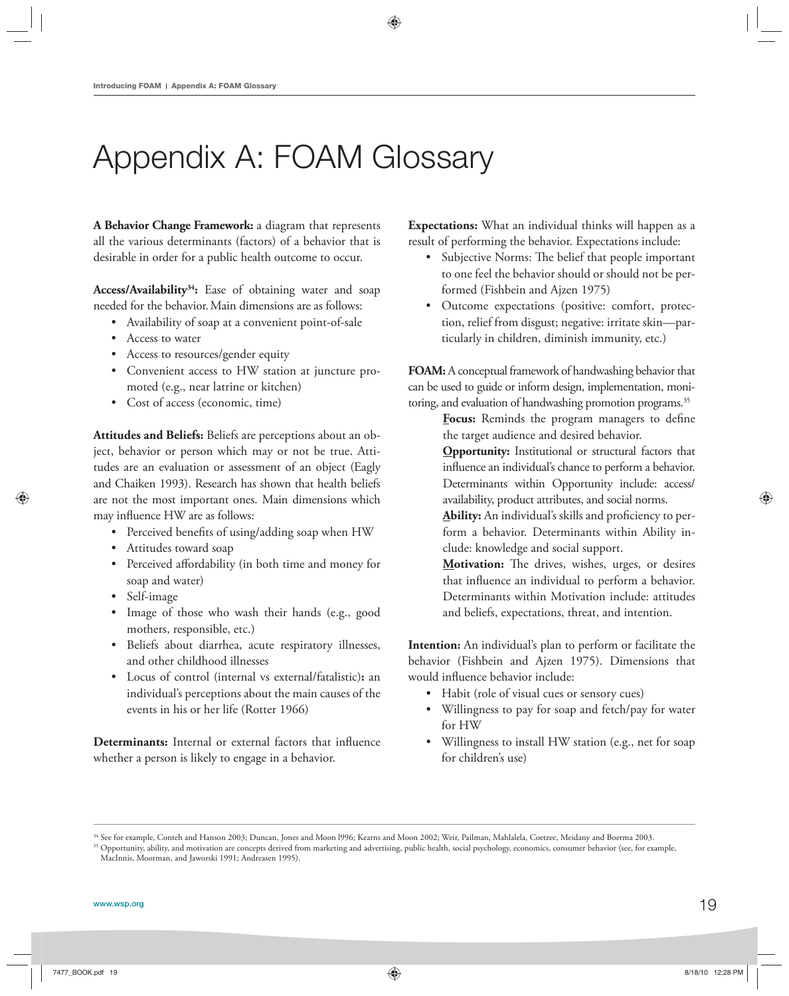## Appendix A: FOAM Glossary

**A Behavior Change Framework:** a diagram that represents all the various determinants (factors) of a behavior that is desirable in order for a public health outcome to occur.

Access/Availability<sup>34</sup>: Ease of obtaining water and soap needed for the behavior. Main dimensions are as follows:

- Availability of soap at a convenient point-of-sale
- Access to water
- Access to resources/gender equity
- Convenient access to HW station at juncture promoted (e.g., near latrine or kitchen)
- Cost of access (economic, time)

**Attitudes and Beliefs:** Beliefs are perceptions about an object, behavior or person which may or not be true. Attitudes are an evaluation or assessment of an object (Eagly and Chaiken 1993). Research has shown that health beliefs are not the most important ones. Main dimensions which may influence HW are as follows:

- Perceived benefits of using/adding soap when HW
- Attitudes toward soap
- Perceived affordability (in both time and money for soap and water)
- Self-image
- Image of those who wash their hands (e.g., good mothers, responsible, etc.)
- Beliefs about diarrhea, acute respiratory illnesses, and other childhood illnesses
- Locus of control (internal vs external/fatalistic)**:** an individual's perceptions about the main causes of the events in his or her life (Rotter 1966)

Determinants: Internal or external factors that influence whether a person is likely to engage in a behavior.

**Expectations:** What an individual thinks will happen as a result of performing the behavior. Expectations include:

- Subjective Norms: The belief that people important to one feel the behavior should or should not be performed (Fishbein and Ajzen 1975)
- Outcome expectations (positive: comfort, protection, relief from disgust; negative: irritate skin—particularly in children, diminish immunity, etc.)

**FOAM:** A conceptual framework of handwashing behavior that can be used to guide or inform design, implementation, monitoring, and evaluation of handwashing promotion programs.<sup>35</sup>

> **Focus:** Reminds the program managers to define the target audience and desired behavior.

> **Opportunity:** Institutional or structural factors that influence an individual's chance to perform a behavior. Determinants within Opportunity include: access/ availability, product attributes, and social norms.

> Ability: An individual's skills and proficiency to perform a behavior. Determinants within Ability include: knowledge and social support.

> Motivation: The drives, wishes, urges, or desires that influence an individual to perform a behavior. Determinants within Motivation include: attitudes and beliefs, expectations, threat, and intention.

**Intention:** An individual's plan to perform or facilitate the behavior (Fishbein and Ajzen 1975). Dimensions that would influence behavior include:

- Habit (role of visual cues or sensory cues)
- Willingness to pay for soap and fetch/pay for water for HW
- Willingness to install HW station (e.g., net for soap for children's use)

<sup>34</sup> See for example, Conteh and Hanson 2003; Duncan, Jones and Moon l996; Kearns and Moon 2002; Weir, Pailman, Mahlalela, Coetzee, Meidany and Boerma 2003.

<sup>&</sup>lt;sup>35</sup> Opportunity, ability, and motivation are concepts derived from marketing and advertising, public health, social psychology, economics, consumer behavior (see, for example, MacInnis, Moorman, and Jaworski 1991; Andreasen 1995).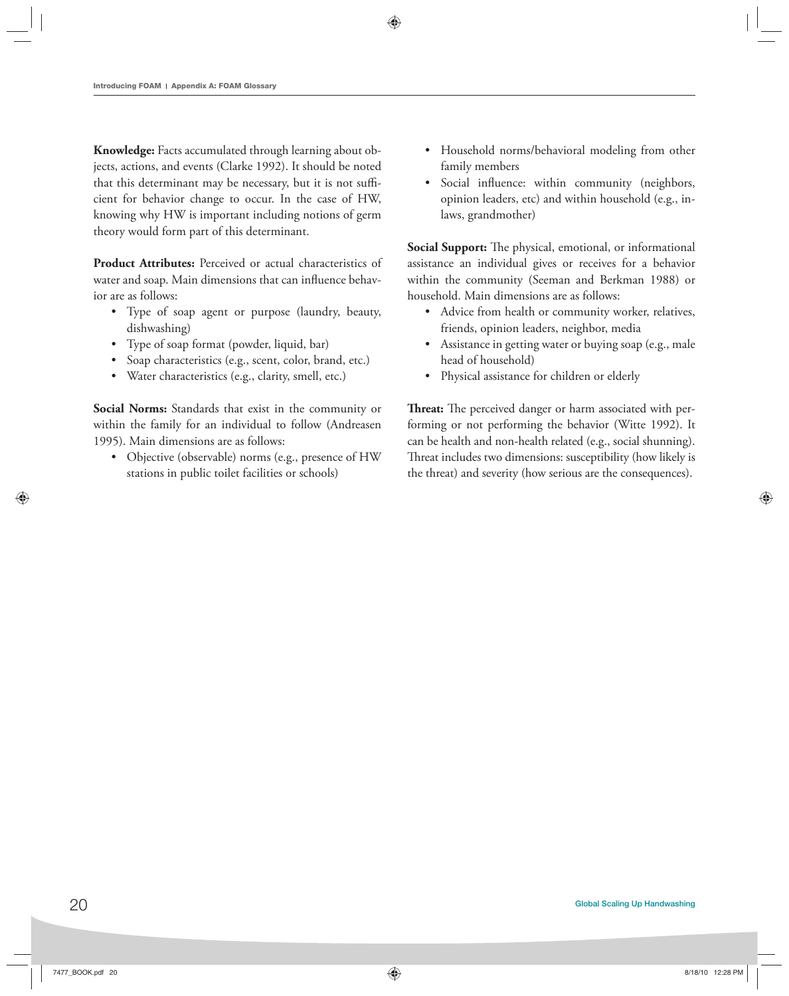**Knowledge:** Facts accumulated through learning about objects, actions, and events (Clarke 1992). It should be noted that this determinant may be necessary, but it is not sufficient for behavior change to occur. In the case of HW, knowing why HW is important including notions of germ theory would form part of this determinant.

**Product Attributes:** Perceived or actual characteristics of water and soap. Main dimensions that can influence behavior are as follows:

- Type of soap agent or purpose (laundry, beauty, dishwashing)
- Type of soap format (powder, liquid, bar)
- Soap characteristics (e.g., scent, color, brand, etc.)
- Water characteristics (e.g., clarity, smell, etc.)

**Social Norms:** Standards that exist in the community or within the family for an individual to follow (Andreasen 1995). Main dimensions are as follows:

• Objective (observable) norms (e.g., presence of HW stations in public toilet facilities or schools)

- Household norms/behavioral modeling from other family members
- Social influence: within community (neighbors, opinion leaders, etc) and within household (e.g., inlaws, grandmother)

**Social Support:** The physical, emotional, or informational assistance an individual gives or receives for a behavior within the community (Seeman and Berkman 1988) or household. Main dimensions are as follows:

- Advice from health or community worker, relatives, friends, opinion leaders, neighbor, media
- Assistance in getting water or buying soap (e.g., male head of household)
- Physical assistance for children or elderly

**Threat:** The perceived danger or harm associated with performing or not performing the behavior (Witte 1992). It can be health and non-health related (e.g., social shunning). Threat includes two dimensions: susceptibility (how likely is the threat) and severity (how serious are the consequences).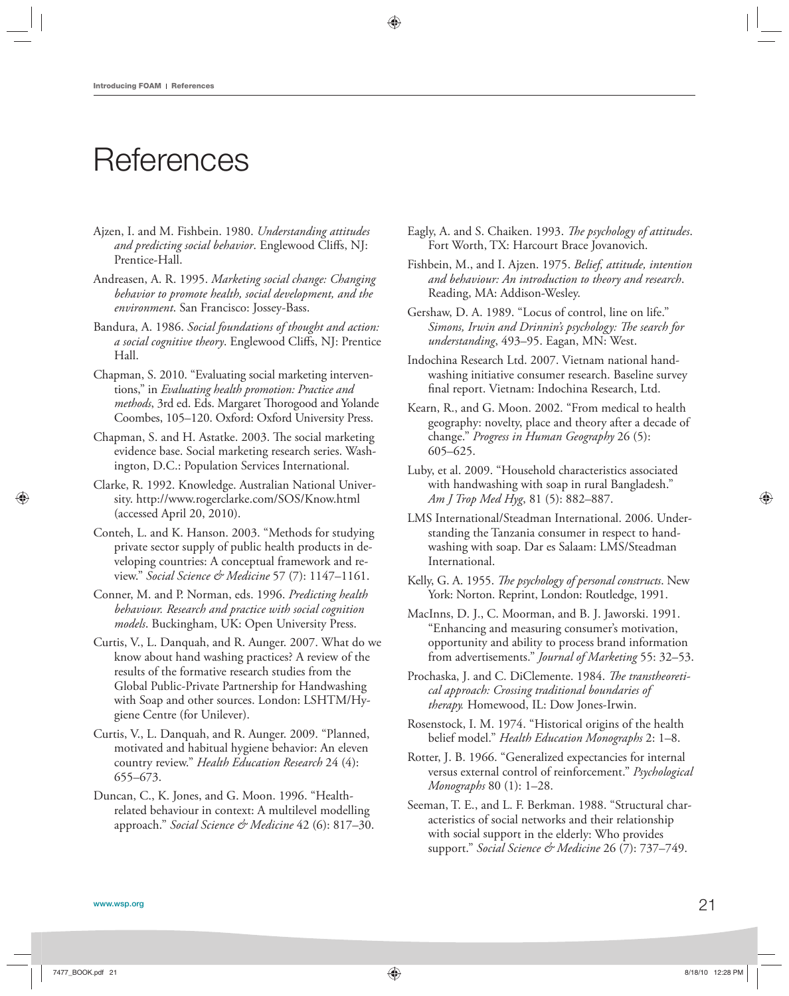## **References**

- Ajzen, I. and M. Fishbein. 1980. *Understanding attitudes and predicting social behavior*. Englewood Cliffs, NJ: Prentice-Hall.
- Andreasen, A. R. 1995. *Marketing social change: Changing behavior to promote health, social development, and the environment*. San Francisco: Jossey-Bass.
- Bandura, A. 1986. *Social foundations of thought and action: a social cognitive theory*. Englewood Cliffs, NJ: Prentice Hall.
- Chapman, S. 2010. "Evaluating social marketing interventions," in *Evaluating health promotion: Practice and methods*, 3rd ed. Eds. Margaret Thorogood and Yolande Coombes, 105–120. Oxford: Oxford University Press.
- Chapman, S. and H. Astatke. 2003. The social marketing evidence base. Social marketing research series. Washington, D.C.: Population Services International.
- Clarke, R. 1992. Knowledge. Australian National University. http://www.rogerclarke.com/SOS/Know.html (accessed April 20, 2010).
- Conteh, L. and K. Hanson. 2003. "Methods for studying private sector supply of public health products in developing countries: A conceptual framework and review." *Social Science & Medicine* 57 (7): 1147–1161.
- Conner, M. and P. Norman, eds. 1996. *Predicting health behaviour. Research and practice with social cognition models*. Buckingham, UK: Open University Press.
- Curtis, V., L. Danquah, and R. Aunger. 2007. What do we know about hand washing practices? A review of the results of the formative research studies from the Global Public-Private Partnership for Handwashing with Soap and other sources. London: LSHTM/Hygiene Centre (for Unilever).
- Curtis, V., L. Danquah, and R. Aunger. 2009. "Planned, motivated and habitual hygiene behavior: An eleven country review." *Health Education Research* 24 (4): 655–673.
- Duncan, C., K. Jones, and G. Moon. 1996. "Healthrelated behaviour in context: A multilevel modelling approach." *Social Science & Medicine* 42 (6): 817–30.
- Eagly, A. and S. Chaiken. 1993. *The psychology of attitudes*. Fort Worth, TX: Harcourt Brace Jovanovich.
- Fishbein, M., and I. Ajzen. 1975. *Belief, attitude, intention and behaviour: An introduction to theory and research*. Reading, MA: Addison-Wesley.
- Gershaw, D. A. 1989. "Locus of control, line on life." *Simons, Irwin and Drinnin's psychology: The search for understanding*, 493–95. Eagan, MN: West.
- Indochina Research Ltd. 2007. Vietnam national handwashing initiative consumer research. Baseline survey final report. Vietnam: Indochina Research, Ltd.
- Kearn, R., and G. Moon. 2002. "From medical to health geography: novelty, place and theory after a decade of change." *Progress in Human Geography* 26 (5): 605–625.
- Luby, et al. 2009. "Household characteristics associated with handwashing with soap in rural Bangladesh." *Am J Trop Med Hyg*, 81 (5): 882–887.
- LMS International/Steadman International. 2006. Understanding the Tanzania consumer in respect to handwashing with soap. Dar es Salaam: LMS/Steadman International.
- Kelly, G. A. 1955. *The psychology of personal constructs*. New York: Norton. Reprint, London: Routledge, 1991.
- MacInns, D. J., C. Moorman, and B. J. Jaworski. 1991. "Enhancing and measuring consumer's motivation, opportunity and ability to process brand information from advertisements." *Journal of Marketing* 55: 32–53.
- Prochaska, J. and C. DiClemente. 1984. *The transtheoretical approach: Crossing traditional boundaries of therapy.* Homewood, IL: Dow Jones-Irwin.
- Rosenstock, I. M. 1974. "Historical origins of the health belief model." *Health Education Monographs* 2: 1–8.
- Rotter, J. B. 1966. "Generalized expectancies for internal versus external control of reinforcement." *Psychological Monographs* 80 (1): 1–28.
- Seeman, T. E., and L. F. Berkman. 1988. "Structural characteristics of social networks and their relationship with social support in the elderly: Who provides support." *Social Science & Medicine* 26 (7): 737–749.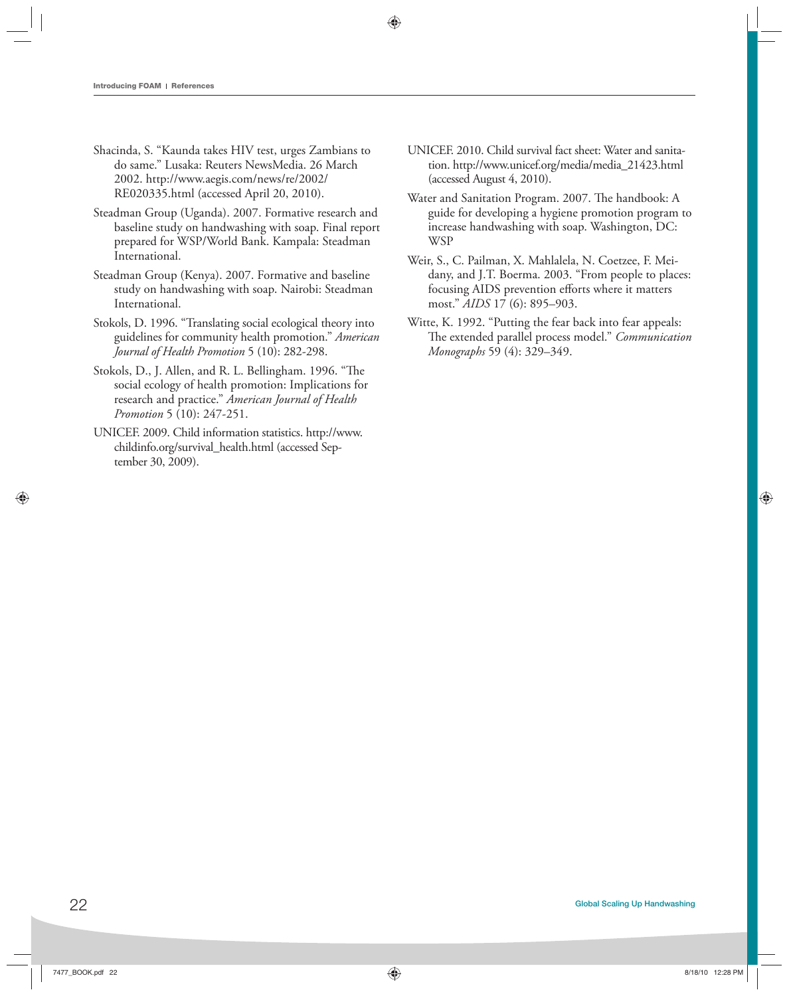- Shacinda, S. "Kaunda takes HIV test, urges Zambians to do same." Lusaka: Reuters NewsMedia. 26 March 2002. http://www.aegis.com/news/re/2002/ [RE020335.html \(accessed April 20, 2010\).](http://www.aegis.com/news/re/2002/RE020335.html)
- Steadman Group (Uganda). 2007. Formative research and baseline study on handwashing with soap. Final report prepared for WSP/World Bank. Kampala: Steadman International.
- Steadman Group (Kenya). 2007. Formative and baseline study on handwashing with soap. Nairobi: Steadman International.
- Stokols, D. 1996. "Translating social ecological theory into guidelines for community health promotion." *American Journal of Health Promotion* 5 (10): 282-298.
- Stokols, D., J. Allen, and R. L. Bellingham. 1996. "The social ecology of health promotion: Implications for research and practice." *American Journal of Health Promotion* 5 (10): 247-251.
- [UNICEF. 2009. Child information statistics. http://www.](http://www.childinfo.org/survival_health.html) childinfo.org/survival\_health.html (accessed September 30, 2009).
- UNICEF. 2010. Child survival fact sheet: Water and sanitation. http://www.unicef.org/media/media\_21423.html (accessed August 4, 2010).
- Water and Sanitation Program. 2007. The handbook: A guide for developing a hygiene promotion program to increase handwashing with soap. Washington, DC: WSP
- Weir, S., C. Pailman, X. Mahlalela, N. Coetzee, F. Meidany, and J.T. Boerma. 2003. "From people to places: focusing AIDS prevention efforts where it matters most." *AIDS* 17 (6): 895–903.
- Witte, K. 1992. "Putting the fear back into fear appeals: The extended parallel process model." *Communication Monographs* 59 (4): 329–349.